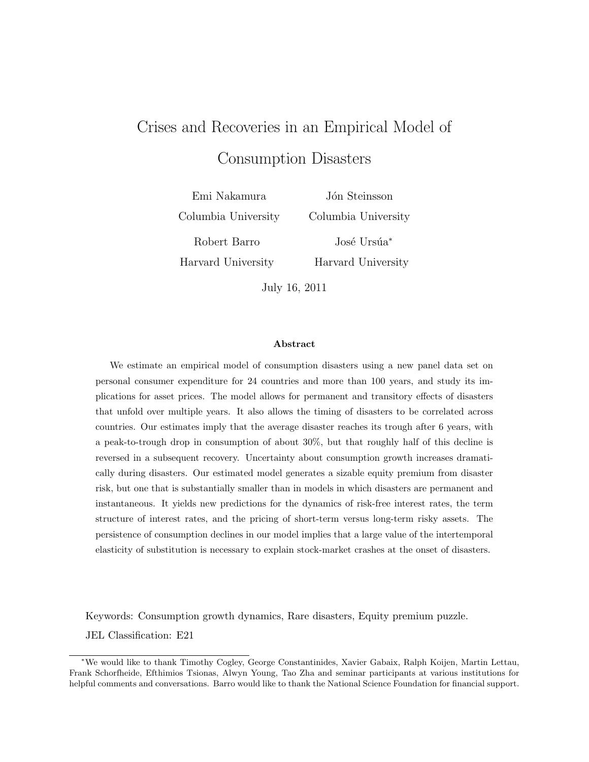# Crises and Recoveries in an Empirical Model of Consumption Disasters

Emi Nakamura Columbia University Robert Barro Harvard University

Columbia University José Ursúa<sup>\*</sup> Harvard University

Jón Steinsson

July 16, 2011

#### Abstract

We estimate an empirical model of consumption disasters using a new panel data set on personal consumer expenditure for 24 countries and more than 100 years, and study its implications for asset prices. The model allows for permanent and transitory effects of disasters that unfold over multiple years. It also allows the timing of disasters to be correlated across countries. Our estimates imply that the average disaster reaches its trough after 6 years, with a peak-to-trough drop in consumption of about 30%, but that roughly half of this decline is reversed in a subsequent recovery. Uncertainty about consumption growth increases dramatically during disasters. Our estimated model generates a sizable equity premium from disaster risk, but one that is substantially smaller than in models in which disasters are permanent and instantaneous. It yields new predictions for the dynamics of risk-free interest rates, the term structure of interest rates, and the pricing of short-term versus long-term risky assets. The persistence of consumption declines in our model implies that a large value of the intertemporal elasticity of substitution is necessary to explain stock-market crashes at the onset of disasters.

Keywords: Consumption growth dynamics, Rare disasters, Equity premium puzzle. JEL Classification: E21

<sup>∗</sup>We would like to thank Timothy Cogley, George Constantinides, Xavier Gabaix, Ralph Koijen, Martin Lettau, Frank Schorfheide, Efthimios Tsionas, Alwyn Young, Tao Zha and seminar participants at various institutions for helpful comments and conversations. Barro would like to thank the National Science Foundation for financial support.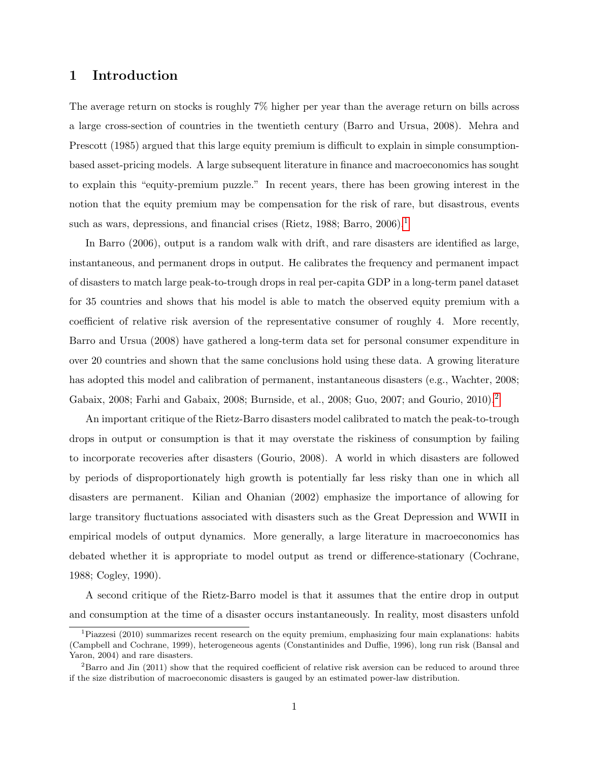## 1 Introduction

The average return on stocks is roughly 7% higher per year than the average return on bills across a large cross-section of countries in the twentieth century (Barro and Ursua, 2008). Mehra and Prescott (1985) argued that this large equity premium is difficult to explain in simple consumptionbased asset-pricing models. A large subsequent literature in finance and macroeconomics has sought to explain this "equity-premium puzzle." In recent years, there has been growing interest in the notion that the equity premium may be compensation for the risk of rare, but disastrous, events such as wars, depressions, and financial crises (Rietz, [1](#page-1-0)988; Barro,  $2006$ ).<sup>1</sup>

In Barro (2006), output is a random walk with drift, and rare disasters are identified as large, instantaneous, and permanent drops in output. He calibrates the frequency and permanent impact of disasters to match large peak-to-trough drops in real per-capita GDP in a long-term panel dataset for 35 countries and shows that his model is able to match the observed equity premium with a coefficient of relative risk aversion of the representative consumer of roughly 4. More recently, Barro and Ursua (2008) have gathered a long-term data set for personal consumer expenditure in over 20 countries and shown that the same conclusions hold using these data. A growing literature has adopted this model and calibration of permanent, instantaneous disasters (e.g., Wachter, 2008; Gabaix, 2008; Farhi and Gabaix, 2008; Burnside, et al., 2008; Guo, 2007; and Gourio, 2010).[2](#page-1-1)

An important critique of the Rietz-Barro disasters model calibrated to match the peak-to-trough drops in output or consumption is that it may overstate the riskiness of consumption by failing to incorporate recoveries after disasters (Gourio, 2008). A world in which disasters are followed by periods of disproportionately high growth is potentially far less risky than one in which all disasters are permanent. Kilian and Ohanian (2002) emphasize the importance of allowing for large transitory fluctuations associated with disasters such as the Great Depression and WWII in empirical models of output dynamics. More generally, a large literature in macroeconomics has debated whether it is appropriate to model output as trend or difference-stationary (Cochrane, 1988; Cogley, 1990).

A second critique of the Rietz-Barro model is that it assumes that the entire drop in output and consumption at the time of a disaster occurs instantaneously. In reality, most disasters unfold

<span id="page-1-0"></span><sup>&</sup>lt;sup>1</sup>Piazzesi (2010) summarizes recent research on the equity premium, emphasizing four main explanations: habits (Campbell and Cochrane, 1999), heterogeneous agents (Constantinides and Duffie, 1996), long run risk (Bansal and Yaron, 2004) and rare disasters.

<span id="page-1-1"></span><sup>&</sup>lt;sup>2</sup>Barro and Jin (2011) show that the required coefficient of relative risk aversion can be reduced to around three if the size distribution of macroeconomic disasters is gauged by an estimated power-law distribution.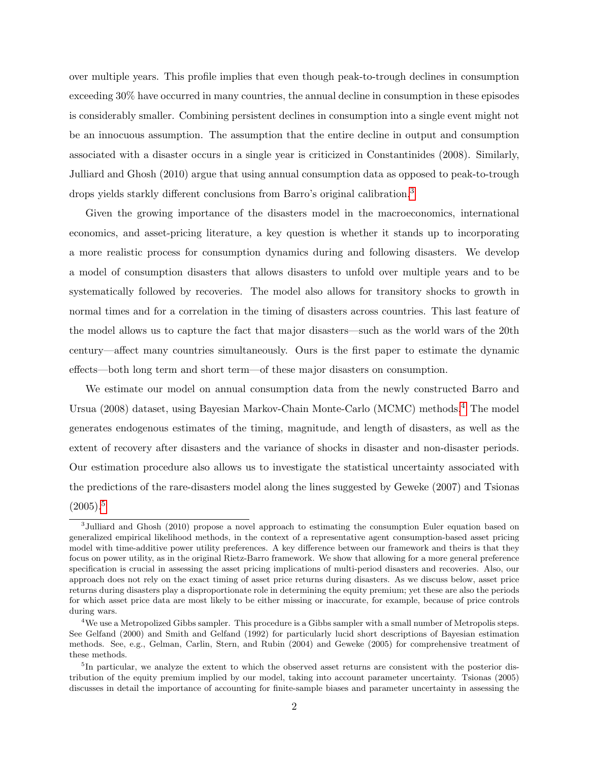over multiple years. This profile implies that even though peak-to-trough declines in consumption exceeding 30% have occurred in many countries, the annual decline in consumption in these episodes is considerably smaller. Combining persistent declines in consumption into a single event might not be an innocuous assumption. The assumption that the entire decline in output and consumption associated with a disaster occurs in a single year is criticized in Constantinides (2008). Similarly, Julliard and Ghosh (2010) argue that using annual consumption data as opposed to peak-to-trough drops yields starkly different conclusions from Barro's original calibration.[3](#page-2-0)

Given the growing importance of the disasters model in the macroeconomics, international economics, and asset-pricing literature, a key question is whether it stands up to incorporating a more realistic process for consumption dynamics during and following disasters. We develop a model of consumption disasters that allows disasters to unfold over multiple years and to be systematically followed by recoveries. The model also allows for transitory shocks to growth in normal times and for a correlation in the timing of disasters across countries. This last feature of the model allows us to capture the fact that major disasters—such as the world wars of the 20th century—affect many countries simultaneously. Ours is the first paper to estimate the dynamic effects—both long term and short term—of these major disasters on consumption.

We estimate our model on annual consumption data from the newly constructed Barro and Ursua (2008) dataset, using Bayesian Markov-Chain Monte-Carlo (MCMC) methods.[4](#page-2-1) The model generates endogenous estimates of the timing, magnitude, and length of disasters, as well as the extent of recovery after disasters and the variance of shocks in disaster and non-disaster periods. Our estimation procedure also allows us to investigate the statistical uncertainty associated with the predictions of the rare-disasters model along the lines suggested by Geweke (2007) and Tsionas  $(2005).$  $(2005).$  $(2005).$ <sup>5</sup>

<span id="page-2-0"></span><sup>3</sup> Julliard and Ghosh (2010) propose a novel approach to estimating the consumption Euler equation based on generalized empirical likelihood methods, in the context of a representative agent consumption-based asset pricing model with time-additive power utility preferences. A key difference between our framework and theirs is that they focus on power utility, as in the original Rietz-Barro framework. We show that allowing for a more general preference specification is crucial in assessing the asset pricing implications of multi-period disasters and recoveries. Also, our approach does not rely on the exact timing of asset price returns during disasters. As we discuss below, asset price returns during disasters play a disproportionate role in determining the equity premium; yet these are also the periods for which asset price data are most likely to be either missing or inaccurate, for example, because of price controls during wars.

<span id="page-2-1"></span><sup>4</sup>We use a Metropolized Gibbs sampler. This procedure is a Gibbs sampler with a small number of Metropolis steps. See Gelfand (2000) and Smith and Gelfand (1992) for particularly lucid short descriptions of Bayesian estimation methods. See, e.g., Gelman, Carlin, Stern, and Rubin (2004) and Geweke (2005) for comprehensive treatment of these methods.

<span id="page-2-2"></span><sup>&</sup>lt;sup>5</sup>In particular, we analyze the extent to which the observed asset returns are consistent with the posterior distribution of the equity premium implied by our model, taking into account parameter uncertainty. Tsionas (2005) discusses in detail the importance of accounting for finite-sample biases and parameter uncertainty in assessing the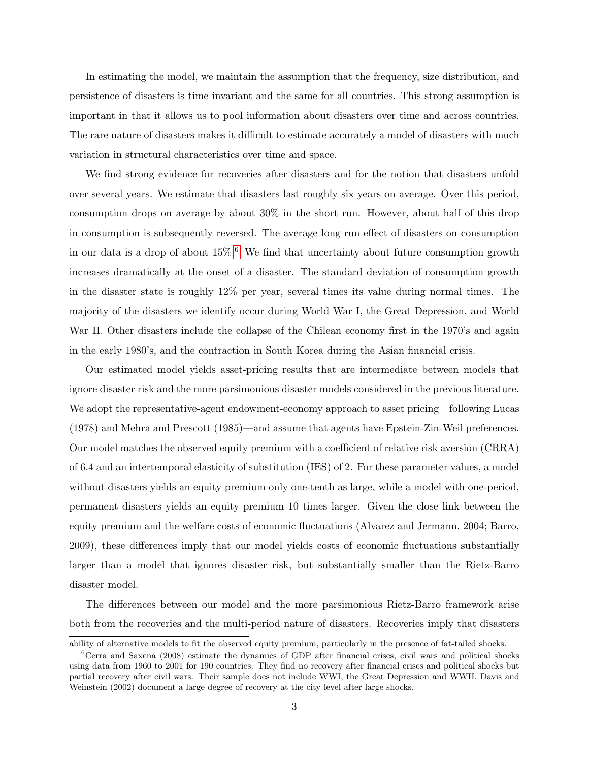In estimating the model, we maintain the assumption that the frequency, size distribution, and persistence of disasters is time invariant and the same for all countries. This strong assumption is important in that it allows us to pool information about disasters over time and across countries. The rare nature of disasters makes it difficult to estimate accurately a model of disasters with much variation in structural characteristics over time and space.

We find strong evidence for recoveries after disasters and for the notion that disasters unfold over several years. We estimate that disasters last roughly six years on average. Over this period, consumption drops on average by about 30% in the short run. However, about half of this drop in consumption is subsequently reversed. The average long run effect of disasters on consumption in our data is a drop of about  $15\%$ .<sup>[6](#page-3-0)</sup> We find that uncertainty about future consumption growth increases dramatically at the onset of a disaster. The standard deviation of consumption growth in the disaster state is roughly 12% per year, several times its value during normal times. The majority of the disasters we identify occur during World War I, the Great Depression, and World War II. Other disasters include the collapse of the Chilean economy first in the 1970's and again in the early 1980's, and the contraction in South Korea during the Asian financial crisis.

Our estimated model yields asset-pricing results that are intermediate between models that ignore disaster risk and the more parsimonious disaster models considered in the previous literature. We adopt the representative-agent endowment-economy approach to asset pricing—following Lucas (1978) and Mehra and Prescott (1985)—and assume that agents have Epstein-Zin-Weil preferences. Our model matches the observed equity premium with a coefficient of relative risk aversion (CRRA) of 6.4 and an intertemporal elasticity of substitution (IES) of 2. For these parameter values, a model without disasters yields an equity premium only one-tenth as large, while a model with one-period, permanent disasters yields an equity premium 10 times larger. Given the close link between the equity premium and the welfare costs of economic fluctuations (Alvarez and Jermann, 2004; Barro, 2009), these differences imply that our model yields costs of economic fluctuations substantially larger than a model that ignores disaster risk, but substantially smaller than the Rietz-Barro disaster model.

The differences between our model and the more parsimonious Rietz-Barro framework arise both from the recoveries and the multi-period nature of disasters. Recoveries imply that disasters

<span id="page-3-0"></span>ability of alternative models to fit the observed equity premium, particularly in the presence of fat-tailed shocks.

<sup>6</sup>Cerra and Saxena (2008) estimate the dynamics of GDP after financial crises, civil wars and political shocks using data from 1960 to 2001 for 190 countries. They find no recovery after financial crises and political shocks but partial recovery after civil wars. Their sample does not include WWI, the Great Depression and WWII. Davis and Weinstein (2002) document a large degree of recovery at the city level after large shocks.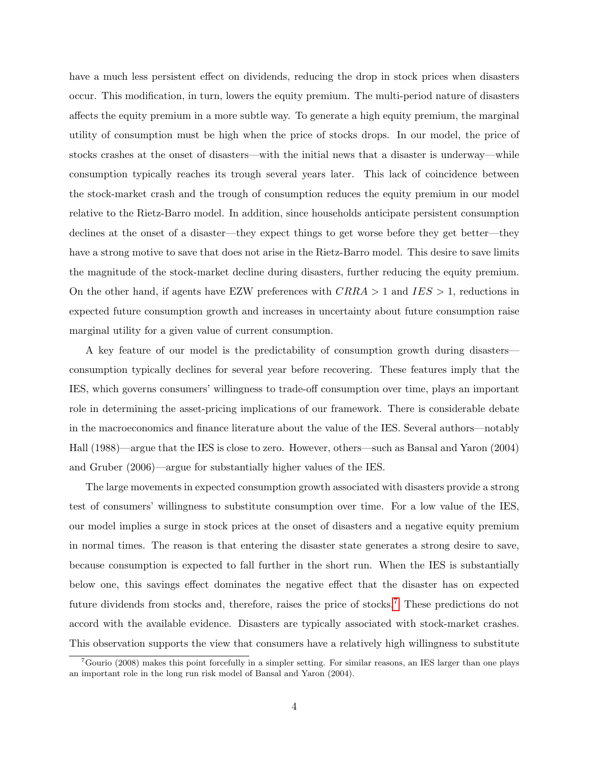have a much less persistent effect on dividends, reducing the drop in stock prices when disasters occur. This modification, in turn, lowers the equity premium. The multi-period nature of disasters affects the equity premium in a more subtle way. To generate a high equity premium, the marginal utility of consumption must be high when the price of stocks drops. In our model, the price of stocks crashes at the onset of disasters—with the initial news that a disaster is underway—while consumption typically reaches its trough several years later. This lack of coincidence between the stock-market crash and the trough of consumption reduces the equity premium in our model relative to the Rietz-Barro model. In addition, since households anticipate persistent consumption declines at the onset of a disaster—they expect things to get worse before they get better—they have a strong motive to save that does not arise in the Rietz-Barro model. This desire to save limits the magnitude of the stock-market decline during disasters, further reducing the equity premium. On the other hand, if agents have EZW preferences with  $CRRA > 1$  and  $IES > 1$ , reductions in expected future consumption growth and increases in uncertainty about future consumption raise marginal utility for a given value of current consumption.

A key feature of our model is the predictability of consumption growth during disasters consumption typically declines for several year before recovering. These features imply that the IES, which governs consumers' willingness to trade-off consumption over time, plays an important role in determining the asset-pricing implications of our framework. There is considerable debate in the macroeconomics and finance literature about the value of the IES. Several authors—notably Hall (1988)—argue that the IES is close to zero. However, others—such as Bansal and Yaron (2004) and Gruber (2006)—argue for substantially higher values of the IES.

The large movements in expected consumption growth associated with disasters provide a strong test of consumers' willingness to substitute consumption over time. For a low value of the IES, our model implies a surge in stock prices at the onset of disasters and a negative equity premium in normal times. The reason is that entering the disaster state generates a strong desire to save, because consumption is expected to fall further in the short run. When the IES is substantially below one, this savings effect dominates the negative effect that the disaster has on expected future dividends from stocks and, therefore, raises the price of stocks.[7](#page-4-0) These predictions do not accord with the available evidence. Disasters are typically associated with stock-market crashes. This observation supports the view that consumers have a relatively high willingness to substitute

<span id="page-4-0"></span><sup>7</sup>Gourio (2008) makes this point forcefully in a simpler setting. For similar reasons, an IES larger than one plays an important role in the long run risk model of Bansal and Yaron (2004).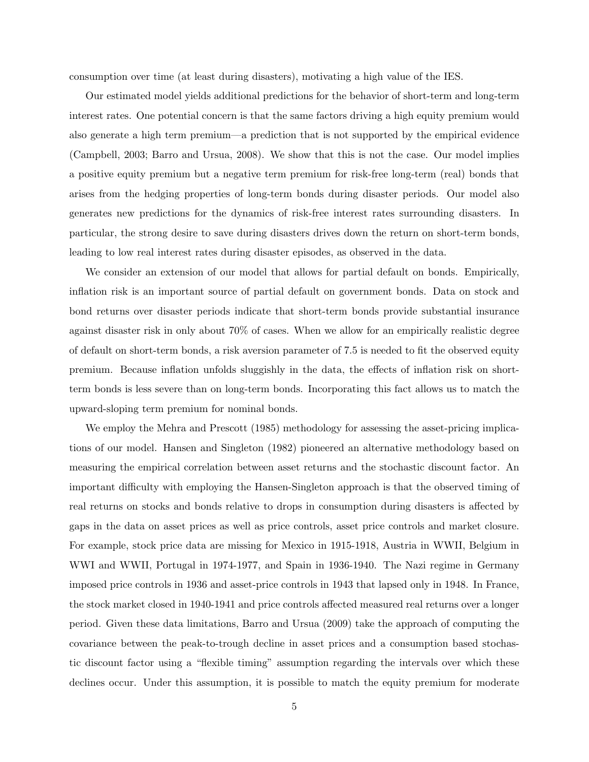consumption over time (at least during disasters), motivating a high value of the IES.

Our estimated model yields additional predictions for the behavior of short-term and long-term interest rates. One potential concern is that the same factors driving a high equity premium would also generate a high term premium—a prediction that is not supported by the empirical evidence (Campbell, 2003; Barro and Ursua, 2008). We show that this is not the case. Our model implies a positive equity premium but a negative term premium for risk-free long-term (real) bonds that arises from the hedging properties of long-term bonds during disaster periods. Our model also generates new predictions for the dynamics of risk-free interest rates surrounding disasters. In particular, the strong desire to save during disasters drives down the return on short-term bonds, leading to low real interest rates during disaster episodes, as observed in the data.

We consider an extension of our model that allows for partial default on bonds. Empirically, inflation risk is an important source of partial default on government bonds. Data on stock and bond returns over disaster periods indicate that short-term bonds provide substantial insurance against disaster risk in only about 70% of cases. When we allow for an empirically realistic degree of default on short-term bonds, a risk aversion parameter of 7.5 is needed to fit the observed equity premium. Because inflation unfolds sluggishly in the data, the effects of inflation risk on shortterm bonds is less severe than on long-term bonds. Incorporating this fact allows us to match the upward-sloping term premium for nominal bonds.

We employ the Mehra and Prescott (1985) methodology for assessing the asset-pricing implications of our model. Hansen and Singleton (1982) pioneered an alternative methodology based on measuring the empirical correlation between asset returns and the stochastic discount factor. An important difficulty with employing the Hansen-Singleton approach is that the observed timing of real returns on stocks and bonds relative to drops in consumption during disasters is affected by gaps in the data on asset prices as well as price controls, asset price controls and market closure. For example, stock price data are missing for Mexico in 1915-1918, Austria in WWII, Belgium in WWI and WWII, Portugal in 1974-1977, and Spain in 1936-1940. The Nazi regime in Germany imposed price controls in 1936 and asset-price controls in 1943 that lapsed only in 1948. In France, the stock market closed in 1940-1941 and price controls affected measured real returns over a longer period. Given these data limitations, Barro and Ursua (2009) take the approach of computing the covariance between the peak-to-trough decline in asset prices and a consumption based stochastic discount factor using a "flexible timing" assumption regarding the intervals over which these declines occur. Under this assumption, it is possible to match the equity premium for moderate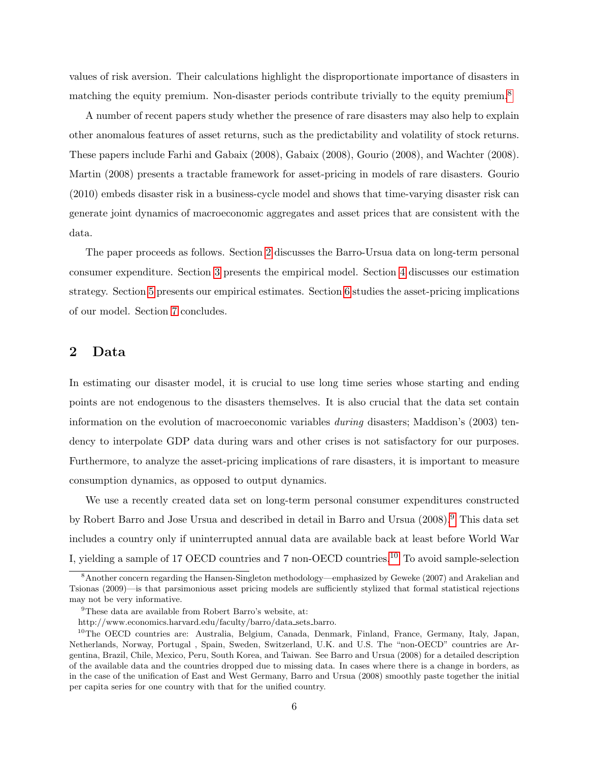values of risk aversion. Their calculations highlight the disproportionate importance of disasters in matching the equity premium. Non-disaster periods contribute trivially to the equity premium.<sup>[8](#page-6-0)</sup>

A number of recent papers study whether the presence of rare disasters may also help to explain other anomalous features of asset returns, such as the predictability and volatility of stock returns. These papers include Farhi and Gabaix (2008), Gabaix (2008), Gourio (2008), and Wachter (2008). Martin (2008) presents a tractable framework for asset-pricing in models of rare disasters. Gourio (2010) embeds disaster risk in a business-cycle model and shows that time-varying disaster risk can generate joint dynamics of macroeconomic aggregates and asset prices that are consistent with the data.

The paper proceeds as follows. Section [2](#page-6-1) discusses the Barro-Ursua data on long-term personal consumer expenditure. Section [3](#page-7-0) presents the empirical model. Section [4](#page-10-0) discusses our estimation strategy. Section [5](#page-12-0) presents our empirical estimates. Section [6](#page-17-0) studies the asset-pricing implications of our model. Section [7](#page-28-0) concludes.

### <span id="page-6-1"></span>2 Data

In estimating our disaster model, it is crucial to use long time series whose starting and ending points are not endogenous to the disasters themselves. It is also crucial that the data set contain information on the evolution of macroeconomic variables during disasters; Maddison's (2003) tendency to interpolate GDP data during wars and other crises is not satisfactory for our purposes. Furthermore, to analyze the asset-pricing implications of rare disasters, it is important to measure consumption dynamics, as opposed to output dynamics.

We use a recently created data set on long-term personal consumer expenditures constructed by Robert Barro and Jose Ursua and described in detail in Barro and Ursua (2008).<sup>[9](#page-6-2)</sup> This data set includes a country only if uninterrupted annual data are available back at least before World War I, yielding a sample of 17 OECD countries and 7 non-OECD countries.<sup>[10](#page-6-3)</sup> To avoid sample-selection

<span id="page-6-0"></span><sup>8</sup>Another concern regarding the Hansen-Singleton methodology—emphasized by Geweke (2007) and Arakelian and Tsionas (2009)—is that parsimonious asset pricing models are sufficiently stylized that formal statistical rejections may not be very informative.

<span id="page-6-2"></span><sup>9</sup>These data are available from Robert Barro's website, at:

<span id="page-6-3"></span>http://www.economics.harvard.edu/faculty/barro/data sets barro.

<sup>10</sup>The OECD countries are: Australia, Belgium, Canada, Denmark, Finland, France, Germany, Italy, Japan, Netherlands, Norway, Portugal , Spain, Sweden, Switzerland, U.K. and U.S. The "non-OECD" countries are Argentina, Brazil, Chile, Mexico, Peru, South Korea, and Taiwan. See Barro and Ursua (2008) for a detailed description of the available data and the countries dropped due to missing data. In cases where there is a change in borders, as in the case of the unification of East and West Germany, Barro and Ursua (2008) smoothly paste together the initial per capita series for one country with that for the unified country.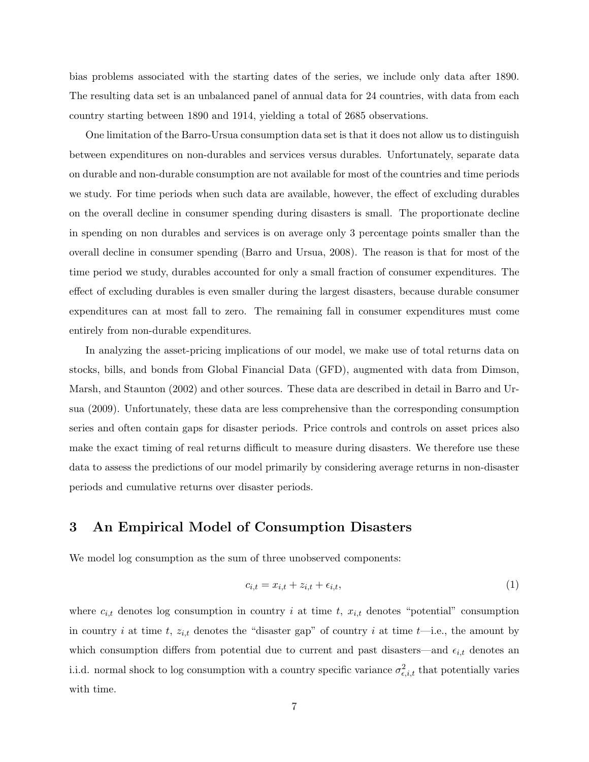bias problems associated with the starting dates of the series, we include only data after 1890. The resulting data set is an unbalanced panel of annual data for 24 countries, with data from each country starting between 1890 and 1914, yielding a total of 2685 observations.

One limitation of the Barro-Ursua consumption data set is that it does not allow us to distinguish between expenditures on non-durables and services versus durables. Unfortunately, separate data on durable and non-durable consumption are not available for most of the countries and time periods we study. For time periods when such data are available, however, the effect of excluding durables on the overall decline in consumer spending during disasters is small. The proportionate decline in spending on non durables and services is on average only 3 percentage points smaller than the overall decline in consumer spending (Barro and Ursua, 2008). The reason is that for most of the time period we study, durables accounted for only a small fraction of consumer expenditures. The effect of excluding durables is even smaller during the largest disasters, because durable consumer expenditures can at most fall to zero. The remaining fall in consumer expenditures must come entirely from non-durable expenditures.

In analyzing the asset-pricing implications of our model, we make use of total returns data on stocks, bills, and bonds from Global Financial Data (GFD), augmented with data from Dimson, Marsh, and Staunton (2002) and other sources. These data are described in detail in Barro and Ursua (2009). Unfortunately, these data are less comprehensive than the corresponding consumption series and often contain gaps for disaster periods. Price controls and controls on asset prices also make the exact timing of real returns difficult to measure during disasters. We therefore use these data to assess the predictions of our model primarily by considering average returns in non-disaster periods and cumulative returns over disaster periods.

## <span id="page-7-0"></span>3 An Empirical Model of Consumption Disasters

We model log consumption as the sum of three unobserved components:

<span id="page-7-1"></span>
$$
c_{i,t} = x_{i,t} + z_{i,t} + \epsilon_{i,t},\tag{1}
$$

where  $c_{i,t}$  denotes log consumption in country i at time t,  $x_{i,t}$  denotes "potential" consumption in country i at time t,  $z_{i,t}$  denotes the "disaster gap" of country i at time t—i.e., the amount by which consumption differs from potential due to current and past disasters—and  $\epsilon_{i,t}$  denotes an i.i.d. normal shock to log consumption with a country specific variance  $\sigma_{\epsilon,i,t}^2$  that potentially varies with time.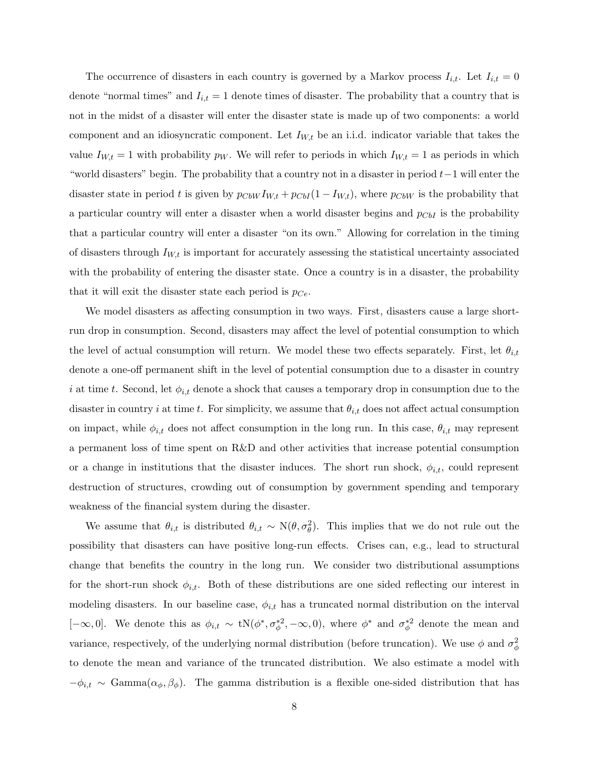The occurrence of disasters in each country is governed by a Markov process  $I_{i,t}$ . Let  $I_{i,t} = 0$ denote "normal times" and  $I_{i,t} = 1$  denote times of disaster. The probability that a country that is not in the midst of a disaster will enter the disaster state is made up of two components: a world component and an idiosyncratic component. Let  $I_{W,t}$  be an i.i.d. indicator variable that takes the value  $I_{W,t} = 1$  with probability  $p_W$ . We will refer to periods in which  $I_{W,t} = 1$  as periods in which "world disasters" begin. The probability that a country not in a disaster in period  $t-1$  will enter the disaster state in period t is given by  $p_{CbW} I_{W,t} + p_{Cb}(1 - I_{W,t})$ , where  $p_{CbW}$  is the probability that a particular country will enter a disaster when a world disaster begins and  $p_{CbI}$  is the probability that a particular country will enter a disaster "on its own." Allowing for correlation in the timing of disasters through  $I_{W,t}$  is important for accurately assessing the statistical uncertainty associated with the probability of entering the disaster state. Once a country is in a disaster, the probability that it will exit the disaster state each period is  $p_{Ce}$ .

We model disasters as affecting consumption in two ways. First, disasters cause a large shortrun drop in consumption. Second, disasters may affect the level of potential consumption to which the level of actual consumption will return. We model these two effects separately. First, let  $\theta_{i,t}$ denote a one-off permanent shift in the level of potential consumption due to a disaster in country i at time t. Second, let  $\phi_{i,t}$  denote a shock that causes a temporary drop in consumption due to the disaster in country i at time t. For simplicity, we assume that  $\theta_{i,t}$  does not affect actual consumption on impact, while  $\phi_{i,t}$  does not affect consumption in the long run. In this case,  $\theta_{i,t}$  may represent a permanent loss of time spent on R&D and other activities that increase potential consumption or a change in institutions that the disaster induces. The short run shock,  $\phi_{i,t}$ , could represent destruction of structures, crowding out of consumption by government spending and temporary weakness of the financial system during the disaster.

We assume that  $\theta_{i,t}$  is distributed  $\theta_{i,t} \sim N(\theta, \sigma_{\theta}^2)$ . This implies that we do not rule out the possibility that disasters can have positive long-run effects. Crises can, e.g., lead to structural change that benefits the country in the long run. We consider two distributional assumptions for the short-run shock  $\phi_{i,t}$ . Both of these distributions are one sided reflecting our interest in modeling disasters. In our baseline case,  $\phi_{i,t}$  has a truncated normal distribution on the interval [ $-\infty, 0$ ]. We denote this as  $\phi_{i,t} \sim tN(\phi^*, \sigma_{\phi}^{*2}, -\infty, 0)$ , where  $\phi^*$  and  $\sigma_{\phi}^{*2}$  denote the mean and variance, respectively, of the underlying normal distribution (before truncation). We use  $\phi$  and  $\sigma_{\phi}^2$ to denote the mean and variance of the truncated distribution. We also estimate a model with  $-\phi_{i,t} \sim \text{Gamma}(\alpha_{\phi}, \beta_{\phi})$ . The gamma distribution is a flexible one-sided distribution that has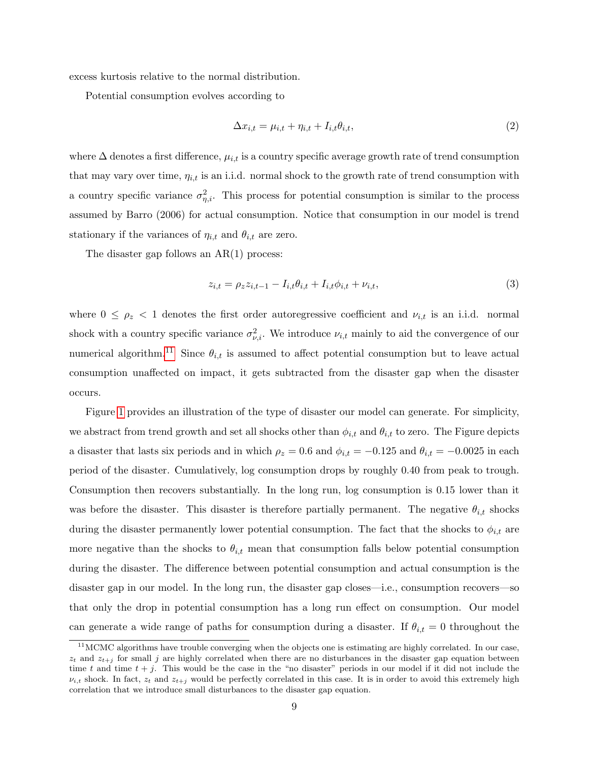excess kurtosis relative to the normal distribution.

Potential consumption evolves according to

$$
\Delta x_{i,t} = \mu_{i,t} + \eta_{i,t} + I_{i,t}\theta_{i,t},\tag{2}
$$

where  $\Delta$  denotes a first difference,  $\mu_{i,t}$  is a country specific average growth rate of trend consumption that may vary over time,  $\eta_{i,t}$  is an i.i.d. normal shock to the growth rate of trend consumption with a country specific variance  $\sigma_{\eta,i}^2$ . This process for potential consumption is similar to the process assumed by Barro (2006) for actual consumption. Notice that consumption in our model is trend stationary if the variances of  $\eta_{i,t}$  and  $\theta_{i,t}$  are zero.

The disaster gap follows an AR(1) process:

<span id="page-9-1"></span>
$$
z_{i,t} = \rho_z z_{i,t-1} - I_{i,t} \theta_{i,t} + I_{i,t} \phi_{i,t} + \nu_{i,t},
$$
\n(3)

where  $0 \leq \rho_z < 1$  denotes the first order autoregressive coefficient and  $\nu_{i,t}$  is an i.i.d. normal shock with a country specific variance  $\sigma_{\nu,i}^2$ . We introduce  $\nu_{i,t}$  mainly to aid the convergence of our numerical algorithm.<sup>[11](#page-9-0)</sup> Since  $\theta_{i,t}$  is assumed to affect potential consumption but to leave actual consumption unaffected on impact, it gets subtracted from the disaster gap when the disaster occurs.

Figure [1](#page--1-0) provides an illustration of the type of disaster our model can generate. For simplicity, we abstract from trend growth and set all shocks other than  $\phi_{i,t}$  and  $\theta_{i,t}$  to zero. The Figure depicts a disaster that lasts six periods and in which  $\rho_z = 0.6$  and  $\phi_{i,t} = -0.125$  and  $\theta_{i,t} = -0.0025$  in each period of the disaster. Cumulatively, log consumption drops by roughly 0.40 from peak to trough. Consumption then recovers substantially. In the long run, log consumption is 0.15 lower than it was before the disaster. This disaster is therefore partially permanent. The negative  $\theta_{i,t}$  shocks during the disaster permanently lower potential consumption. The fact that the shocks to  $\phi_{i,t}$  are more negative than the shocks to  $\theta_{i,t}$  mean that consumption falls below potential consumption during the disaster. The difference between potential consumption and actual consumption is the disaster gap in our model. In the long run, the disaster gap closes—i.e., consumption recovers—so that only the drop in potential consumption has a long run effect on consumption. Our model can generate a wide range of paths for consumption during a disaster. If  $\theta_{i,t} = 0$  throughout the

<span id="page-9-0"></span> $11$ MCMC algorithms have trouble converging when the objects one is estimating are highly correlated. In our case,  $z_t$  and  $z_{t+1}$  for small j are highly correlated when there are no disturbances in the disaster gap equation between time t and time  $t + j$ . This would be the case in the "no disaster" periods in our model if it did not include the  $\nu_{i,t}$  shock. In fact,  $z_t$  and  $z_{t+1}$  would be perfectly correlated in this case. It is in order to avoid this extremely high correlation that we introduce small disturbances to the disaster gap equation.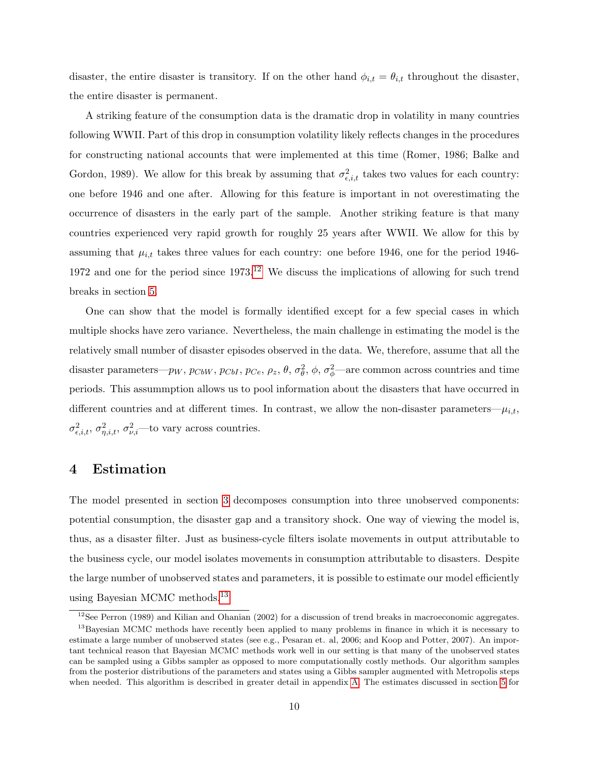disaster, the entire disaster is transitory. If on the other hand  $\phi_{i,t} = \theta_{i,t}$  throughout the disaster, the entire disaster is permanent.

A striking feature of the consumption data is the dramatic drop in volatility in many countries following WWII. Part of this drop in consumption volatility likely reflects changes in the procedures for constructing national accounts that were implemented at this time (Romer, 1986; Balke and Gordon, 1989). We allow for this break by assuming that  $\sigma_{\epsilon,i,t}^2$  takes two values for each country: one before 1946 and one after. Allowing for this feature is important in not overestimating the occurrence of disasters in the early part of the sample. Another striking feature is that many countries experienced very rapid growth for roughly 25 years after WWII. We allow for this by assuming that  $\mu_{i,t}$  takes three values for each country: one before 1946, one for the period 1946-1972 and one for the period since 1973.[12](#page-10-1) We discuss the implications of allowing for such trend breaks in section [5.](#page-12-0)

One can show that the model is formally identified except for a few special cases in which multiple shocks have zero variance. Nevertheless, the main challenge in estimating the model is the relatively small number of disaster episodes observed in the data. We, therefore, assume that all the disaster parameters— $p_W$ ,  $p_{CbW}$ ,  $p_{CbV}$ ,  $p_{Ce}$ ,  $\rho_z$ ,  $\theta$ ,  $\sigma_\theta^2$ ,  $\phi$ ,  $\sigma_\phi^2$ —are common across countries and time periods. This assummption allows us to pool information about the disasters that have occurred in different countries and at different times. In contrast, we allow the non-disaster parameters— $\mu_{i,t}$ ,  $\sigma_{\epsilon,i,t}^2$ ,  $\sigma_{\eta,i,t}^2$ ,  $\sigma_{\nu,i}^2$  to vary across countries.

#### <span id="page-10-0"></span>4 Estimation

The model presented in section [3](#page-7-0) decomposes consumption into three unobserved components: potential consumption, the disaster gap and a transitory shock. One way of viewing the model is, thus, as a disaster filter. Just as business-cycle filters isolate movements in output attributable to the business cycle, our model isolates movements in consumption attributable to disasters. Despite the large number of unobserved states and parameters, it is possible to estimate our model efficiently using Bayesian MCMC methods.[13](#page-10-2)

<span id="page-10-2"></span><span id="page-10-1"></span> $12$ See Perron (1989) and Kilian and Ohanian (2002) for a discussion of trend breaks in macroeconomic aggregates. <sup>13</sup>Bayesian MCMC methods have recently been applied to many problems in finance in which it is necessary to estimate a large number of unobserved states (see e.g., Pesaran et. al, 2006; and Koop and Potter, 2007). An important technical reason that Bayesian MCMC methods work well in our setting is that many of the unobserved states can be sampled using a Gibbs sampler as opposed to more computationally costly methods. Our algorithm samples from the posterior distributions of the parameters and states using a Gibbs sampler augmented with Metropolis steps when needed. This algorithm is described in greater detail in appendix [A.](#page-30-0) The estimates discussed in section [5](#page-12-0) for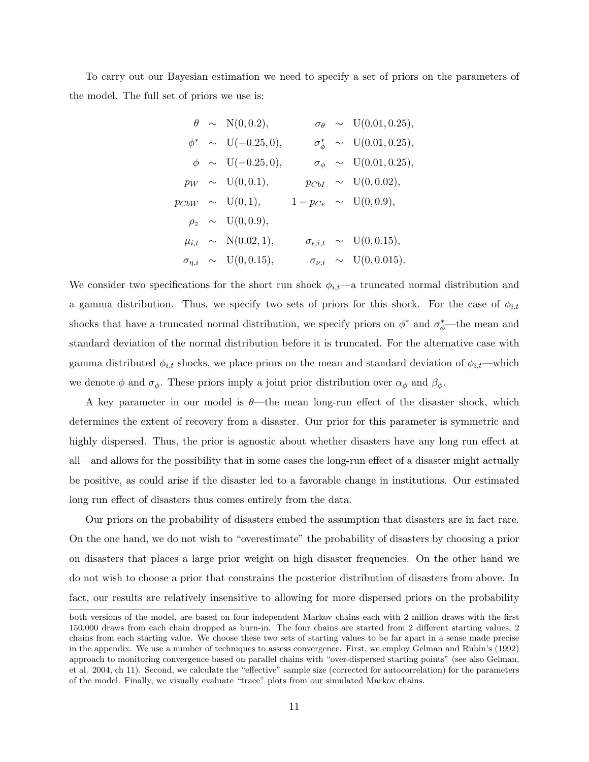To carry out our Bayesian estimation we need to specify a set of priors on the parameters of the model. The full set of priors we use is:

$$
\theta \sim N(0, 0.2), \qquad \sigma_{\theta} \sim U(0.01, 0.25),
$$
  
\n
$$
\phi^* \sim U(-0.25, 0), \qquad \sigma_{\phi}^* \sim U(0.01, 0.25),
$$
  
\n
$$
\phi \sim U(-0.25, 0), \qquad \sigma_{\phi} \sim U(0.01, 0.25),
$$
  
\n
$$
p_W \sim U(0, 0.1), \qquad p_{CbI} \sim U(0, 0.02),
$$
  
\n
$$
p_{CbW} \sim U(0, 1), \qquad 1 - p_{Ce} \sim U(0, 0.9),
$$
  
\n
$$
\rho_z \sim U(0, 0.9),
$$
  
\n
$$
\mu_{i,t} \sim N(0.02, 1), \qquad \sigma_{\epsilon, i, t} \sim U(0, 0.15),
$$
  
\n
$$
\sigma_{\eta, i} \sim U(0, 0.15), \qquad \sigma_{\nu, i} \sim U(0, 0.015).
$$

We consider two specifications for the short run shock  $\phi_{i,t}$ —a truncated normal distribution and a gamma distribution. Thus, we specify two sets of priors for this shock. For the case of  $\phi_{i,t}$ shocks that have a truncated normal distribution, we specify priors on  $\phi^*$  and  $\sigma_{\phi}^*$ —the mean and standard deviation of the normal distribution before it is truncated. For the alternative case with gamma distributed  $\phi_{i,t}$  shocks, we place priors on the mean and standard deviation of  $\phi_{i,t}$ —which we denote  $\phi$  and  $\sigma_{\phi}$ . These priors imply a joint prior distribution over  $\alpha_{\phi}$  and  $\beta_{\phi}$ .

A key parameter in our model is  $\theta$ —the mean long-run effect of the disaster shock, which determines the extent of recovery from a disaster. Our prior for this parameter is symmetric and highly dispersed. Thus, the prior is agnostic about whether disasters have any long run effect at all—and allows for the possibility that in some cases the long-run effect of a disaster might actually be positive, as could arise if the disaster led to a favorable change in institutions. Our estimated long run effect of disasters thus comes entirely from the data.

Our priors on the probability of disasters embed the assumption that disasters are in fact rare. On the one hand, we do not wish to "overestimate" the probability of disasters by choosing a prior on disasters that places a large prior weight on high disaster frequencies. On the other hand we do not wish to choose a prior that constrains the posterior distribution of disasters from above. In fact, our results are relatively insensitive to allowing for more dispersed priors on the probability

both versions of the model, are based on four independent Markov chains each with 2 million draws with the first 150,000 draws from each chain dropped as burn-in. The four chains are started from 2 different starting values, 2 chains from each starting value. We choose these two sets of starting values to be far apart in a sense made precise in the appendix. We use a number of techniques to assess convergence. First, we employ Gelman and Rubin's (1992) approach to monitoring convergence based on parallel chains with "over-dispersed starting points" (see also Gelman, et al. 2004, ch 11). Second, we calculate the "effective" sample size (corrected for autocorrelation) for the parameters of the model. Finally, we visually evaluate "trace" plots from our simulated Markov chains.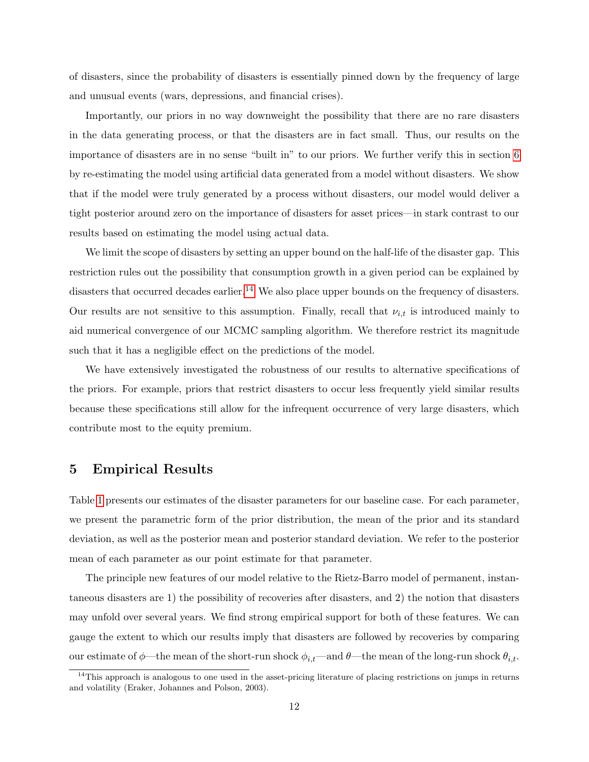of disasters, since the probability of disasters is essentially pinned down by the frequency of large and unusual events (wars, depressions, and financial crises).

Importantly, our priors in no way downweight the possibility that there are no rare disasters in the data generating process, or that the disasters are in fact small. Thus, our results on the importance of disasters are in no sense "built in" to our priors. We further verify this in section [6](#page-17-0) by re-estimating the model using artificial data generated from a model without disasters. We show that if the model were truly generated by a process without disasters, our model would deliver a tight posterior around zero on the importance of disasters for asset prices—in stark contrast to our results based on estimating the model using actual data.

We limit the scope of disasters by setting an upper bound on the half-life of the disaster gap. This restriction rules out the possibility that consumption growth in a given period can be explained by disasters that occurred decades earlier.<sup>[14](#page-12-1)</sup> We also place upper bounds on the frequency of disasters. Our results are not sensitive to this assumption. Finally, recall that  $\nu_{i,t}$  is introduced mainly to aid numerical convergence of our MCMC sampling algorithm. We therefore restrict its magnitude such that it has a negligible effect on the predictions of the model.

We have extensively investigated the robustness of our results to alternative specifications of the priors. For example, priors that restrict disasters to occur less frequently yield similar results because these specifications still allow for the infrequent occurrence of very large disasters, which contribute most to the equity premium.

#### <span id="page-12-0"></span>5 Empirical Results

Table [1](#page--1-1) presents our estimates of the disaster parameters for our baseline case. For each parameter, we present the parametric form of the prior distribution, the mean of the prior and its standard deviation, as well as the posterior mean and posterior standard deviation. We refer to the posterior mean of each parameter as our point estimate for that parameter.

The principle new features of our model relative to the Rietz-Barro model of permanent, instantaneous disasters are 1) the possibility of recoveries after disasters, and 2) the notion that disasters may unfold over several years. We find strong empirical support for both of these features. We can gauge the extent to which our results imply that disasters are followed by recoveries by comparing our estimate of  $\phi$ —the mean of the short-run shock  $\phi_{i,t}$ —and  $\theta$ —the mean of the long-run shock  $\theta_{i,t}$ .

<span id="page-12-1"></span> $14$ This approach is analogous to one used in the asset-pricing literature of placing restrictions on jumps in returns and volatility (Eraker, Johannes and Polson, 2003).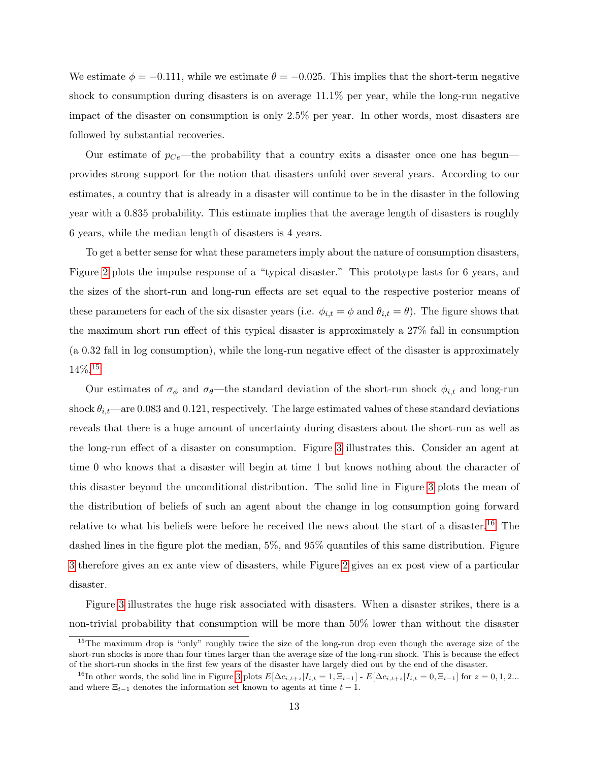We estimate  $\phi = -0.111$ , while we estimate  $\theta = -0.025$ . This implies that the short-term negative shock to consumption during disasters is on average 11.1% per year, while the long-run negative impact of the disaster on consumption is only 2.5% per year. In other words, most disasters are followed by substantial recoveries.

Our estimate of  $p_{Ce}$ —the probability that a country exits a disaster once one has begun provides strong support for the notion that disasters unfold over several years. According to our estimates, a country that is already in a disaster will continue to be in the disaster in the following year with a 0.835 probability. This estimate implies that the average length of disasters is roughly 6 years, while the median length of disasters is 4 years.

To get a better sense for what these parameters imply about the nature of consumption disasters, Figure [2](#page--1-2) plots the impulse response of a "typical disaster." This prototype lasts for 6 years, and the sizes of the short-run and long-run effects are set equal to the respective posterior means of these parameters for each of the six disaster years (i.e.  $\phi_{i,t} = \phi$  and  $\theta_{i,t} = \theta$ ). The figure shows that the maximum short run effect of this typical disaster is approximately a 27% fall in consumption (a 0.32 fall in log consumption), while the long-run negative effect of the disaster is approximately 14%.[15](#page-13-0)

Our estimates of  $\sigma_{\phi}$  and  $\sigma_{\theta}$ —the standard deviation of the short-run shock  $\phi_{i,t}$  and long-run shock  $\theta_{i,t}$ —are 0.083 and 0.121, respectively. The large estimated values of these standard deviations reveals that there is a huge amount of uncertainty during disasters about the short-run as well as the long-run effect of a disaster on consumption. Figure [3](#page--1-3) illustrates this. Consider an agent at time 0 who knows that a disaster will begin at time 1 but knows nothing about the character of this disaster beyond the unconditional distribution. The solid line in Figure [3](#page--1-3) plots the mean of the distribution of beliefs of such an agent about the change in log consumption going forward relative to what his beliefs were before he received the news about the start of a disaster.<sup>[16](#page-13-1)</sup> The dashed lines in the figure plot the median, 5%, and 95% quantiles of this same distribution. Figure [3](#page--1-3) therefore gives an ex ante view of disasters, while Figure [2](#page--1-2) gives an ex post view of a particular disaster.

Figure [3](#page--1-3) illustrates the huge risk associated with disasters. When a disaster strikes, there is a non-trivial probability that consumption will be more than 50% lower than without the disaster

<span id="page-13-0"></span><sup>&</sup>lt;sup>15</sup>The maximum drop is "only" roughly twice the size of the long-run drop even though the average size of the short-run shocks is more than four times larger than the average size of the long-run shock. This is because the effect of the short-run shocks in the first few years of the disaster have largely died out by the end of the disaster.

<span id="page-13-1"></span><sup>&</sup>lt;sup>16</sup>In other words, the solid line in Figure [3](#page--1-3) plots  $E[\Delta c_{i,t+z}|I_{i,t} = 1, \Xi_{t-1}]$  -  $E[\Delta c_{i,t+z}|I_{i,t} = 0, \Xi_{t-1}]$  for  $z = 0, 1, 2...$ and where  $\Xi_{t-1}$  denotes the information set known to agents at time  $t-1$ .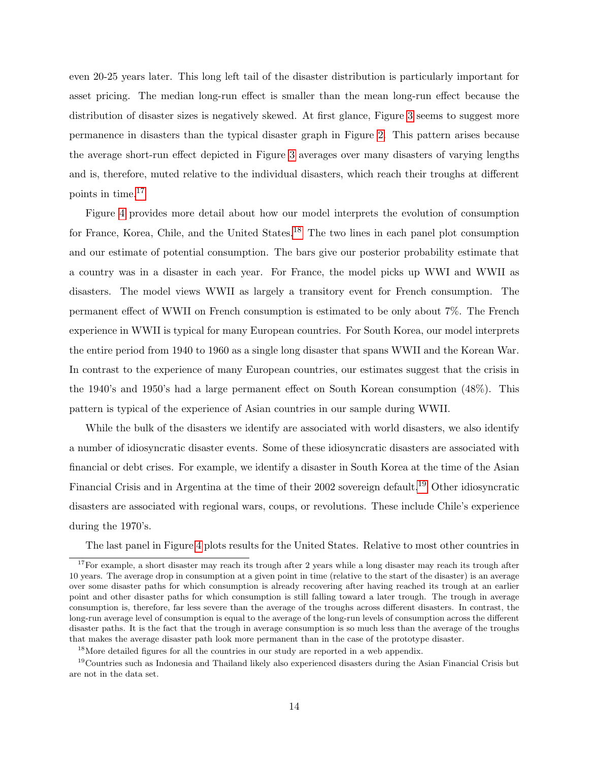even 20-25 years later. This long left tail of the disaster distribution is particularly important for asset pricing. The median long-run effect is smaller than the mean long-run effect because the distribution of disaster sizes is negatively skewed. At first glance, Figure [3](#page--1-3) seems to suggest more permanence in disasters than the typical disaster graph in Figure [2.](#page--1-2) This pattern arises because the average short-run effect depicted in Figure [3](#page--1-3) averages over many disasters of varying lengths and is, therefore, muted relative to the individual disasters, which reach their troughs at different points in time.[17](#page-14-0)

Figure [4](#page--1-4) provides more detail about how our model interprets the evolution of consumption for France, Korea, Chile, and the United States.<sup>[18](#page-14-1)</sup> The two lines in each panel plot consumption and our estimate of potential consumption. The bars give our posterior probability estimate that a country was in a disaster in each year. For France, the model picks up WWI and WWII as disasters. The model views WWII as largely a transitory event for French consumption. The permanent effect of WWII on French consumption is estimated to be only about 7%. The French experience in WWII is typical for many European countries. For South Korea, our model interprets the entire period from 1940 to 1960 as a single long disaster that spans WWII and the Korean War. In contrast to the experience of many European countries, our estimates suggest that the crisis in the 1940's and 1950's had a large permanent effect on South Korean consumption (48%). This pattern is typical of the experience of Asian countries in our sample during WWII.

While the bulk of the disasters we identify are associated with world disasters, we also identify a number of idiosyncratic disaster events. Some of these idiosyncratic disasters are associated with financial or debt crises. For example, we identify a disaster in South Korea at the time of the Asian Financial Crisis and in Argentina at the time of their 2002 sovereign default.<sup>[19](#page-14-2)</sup> Other idiosyncratic disasters are associated with regional wars, coups, or revolutions. These include Chile's experience during the 1970's.

<span id="page-14-0"></span>The last panel in Figure [4](#page--1-4) plots results for the United States. Relative to most other countries in

 $17$  For example, a short disaster may reach its trough after 2 years while a long disaster may reach its trough after 10 years. The average drop in consumption at a given point in time (relative to the start of the disaster) is an average over some disaster paths for which consumption is already recovering after having reached its trough at an earlier point and other disaster paths for which consumption is still falling toward a later trough. The trough in average consumption is, therefore, far less severe than the average of the troughs across different disasters. In contrast, the long-run average level of consumption is equal to the average of the long-run levels of consumption across the different disaster paths. It is the fact that the trough in average consumption is so much less than the average of the troughs that makes the average disaster path look more permanent than in the case of the prototype disaster.

<span id="page-14-2"></span><span id="page-14-1"></span><sup>&</sup>lt;sup>18</sup>More detailed figures for all the countries in our study are reported in a web appendix.

<sup>&</sup>lt;sup>19</sup>Countries such as Indonesia and Thailand likely also experienced disasters during the Asian Financial Crisis but are not in the data set.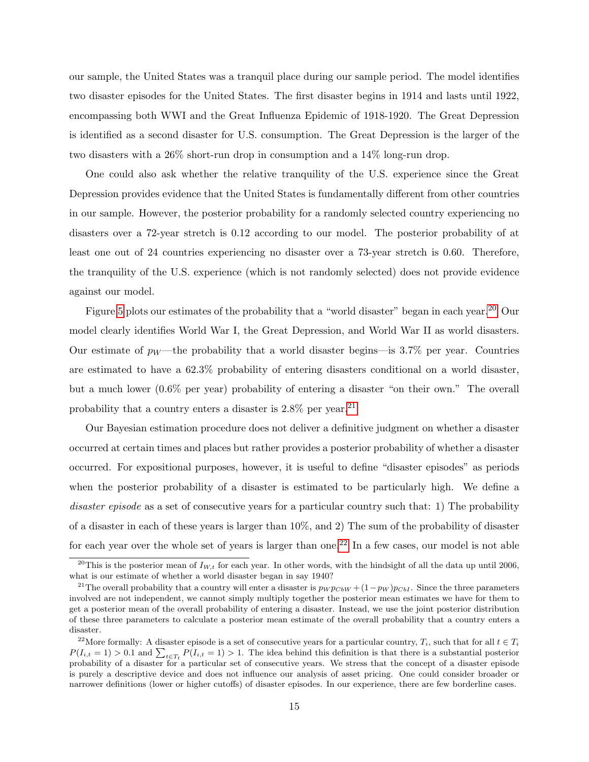our sample, the United States was a tranquil place during our sample period. The model identifies two disaster episodes for the United States. The first disaster begins in 1914 and lasts until 1922, encompassing both WWI and the Great Influenza Epidemic of 1918-1920. The Great Depression is identified as a second disaster for U.S. consumption. The Great Depression is the larger of the two disasters with a 26% short-run drop in consumption and a 14% long-run drop.

One could also ask whether the relative tranquility of the U.S. experience since the Great Depression provides evidence that the United States is fundamentally different from other countries in our sample. However, the posterior probability for a randomly selected country experiencing no disasters over a 72-year stretch is 0.12 according to our model. The posterior probability of at least one out of 24 countries experiencing no disaster over a 73-year stretch is 0.60. Therefore, the tranquility of the U.S. experience (which is not randomly selected) does not provide evidence against our model.

Figure [5](#page--1-5) plots our estimates of the probability that a "world disaster" began in each year.<sup>[20](#page-15-0)</sup> Our model clearly identifies World War I, the Great Depression, and World War II as world disasters. Our estimate of  $p_W$ —the probability that a world disaster begins—is 3.7% per year. Countries are estimated to have a 62.3% probability of entering disasters conditional on a world disaster, but a much lower (0.6% per year) probability of entering a disaster "on their own." The overall probability that a country enters a disaster is  $2.8\%$  per year.<sup>[21](#page-15-1)</sup>

Our Bayesian estimation procedure does not deliver a definitive judgment on whether a disaster occurred at certain times and places but rather provides a posterior probability of whether a disaster occurred. For expositional purposes, however, it is useful to define "disaster episodes" as periods when the posterior probability of a disaster is estimated to be particularly high. We define a disaster episode as a set of consecutive years for a particular country such that: 1) The probability of a disaster in each of these years is larger than 10%, and 2) The sum of the probability of disaster for each year over the whole set of years is larger than one.<sup>[22](#page-15-2)</sup> In a few cases, our model is not able

<span id="page-15-0"></span><sup>&</sup>lt;sup>20</sup>This is the posterior mean of  $I_{W,t}$  for each year. In other words, with the hindsight of all the data up until 2006, what is our estimate of whether a world disaster began in say 1940?

<span id="page-15-1"></span><sup>&</sup>lt;sup>21</sup>The overall probability that a country will enter a disaster is  $p_W p_{CbW} + (1-p_W) p_{CbI}$ . Since the three parameters involved are not independent, we cannot simply multiply together the posterior mean estimates we have for them to get a posterior mean of the overall probability of entering a disaster. Instead, we use the joint posterior distribution of these three parameters to calculate a posterior mean estimate of the overall probability that a country enters a disaster.

<span id="page-15-2"></span><sup>&</sup>lt;sup>22</sup>More formally: A disaster episode is a set of consecutive years for a particular country,  $T_i$ , such that for all  $t \in T_i$  $P(I_{i,t} = 1) > 0.1$  and  $\sum_{t \in T_t} P(I_{i,t} = 1) > 1$ . The idea behind this definition is that there is a substantial posterior probability of a disaster for a particular set of consecutive years. We stress that the concept of a disaster episode is purely a descriptive device and does not influence our analysis of asset pricing. One could consider broader or narrower definitions (lower or higher cutoffs) of disaster episodes. In our experience, there are few borderline cases.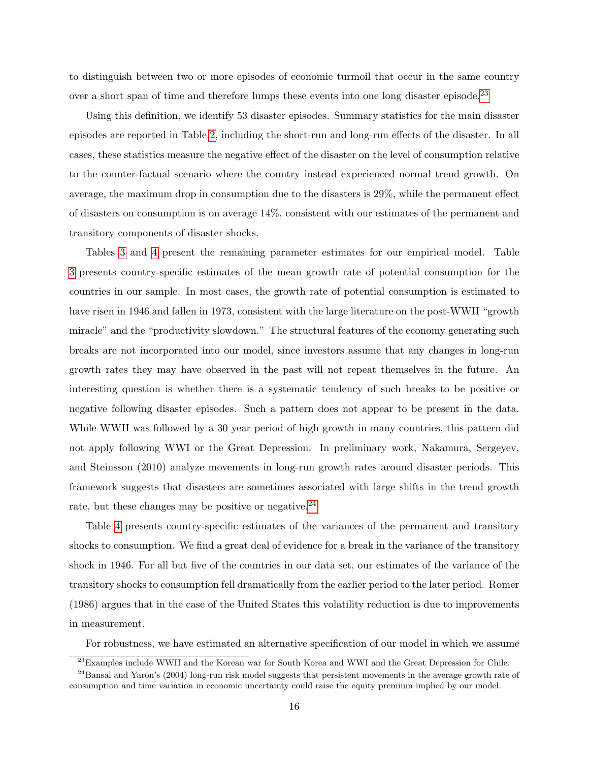to distinguish between two or more episodes of economic turmoil that occur in the same country over a short span of time and therefore lumps these events into one long disaster episode.[23](#page-16-0)

Using this definition, we identify 53 disaster episodes. Summary statistics for the main disaster episodes are reported in Table [2,](#page--1-6) including the short-run and long-run effects of the disaster. In all cases, these statistics measure the negative effect of the disaster on the level of consumption relative to the counter-factual scenario where the country instead experienced normal trend growth. On average, the maximum drop in consumption due to the disasters is 29%, while the permanent effect of disasters on consumption is on average 14%, consistent with our estimates of the permanent and transitory components of disaster shocks.

Tables [3](#page--1-7) and [4](#page--1-8) present the remaining parameter estimates for our empirical model. Table [3](#page--1-7) presents country-specific estimates of the mean growth rate of potential consumption for the countries in our sample. In most cases, the growth rate of potential consumption is estimated to have risen in 1946 and fallen in 1973, consistent with the large literature on the post-WWII "growth miracle" and the "productivity slowdown." The structural features of the economy generating such breaks are not incorporated into our model, since investors assume that any changes in long-run growth rates they may have observed in the past will not repeat themselves in the future. An interesting question is whether there is a systematic tendency of such breaks to be positive or negative following disaster episodes. Such a pattern does not appear to be present in the data. While WWII was followed by a 30 year period of high growth in many countries, this pattern did not apply following WWI or the Great Depression. In preliminary work, Nakamura, Sergeyev, and Steinsson (2010) analyze movements in long-run growth rates around disaster periods. This framework suggests that disasters are sometimes associated with large shifts in the trend growth rate, but these changes may be positive or negative.  $24$ 

Table [4](#page--1-8) presents country-specific estimates of the variances of the permanent and transitory shocks to consumption. We find a great deal of evidence for a break in the variance of the transitory shock in 1946. For all but five of the countries in our data set, our estimates of the variance of the transitory shocks to consumption fell dramatically from the earlier period to the later period. Romer (1986) argues that in the case of the United States this volatility reduction is due to improvements in measurement.

<span id="page-16-0"></span>For robustness, we have estimated an alternative specification of our model in which we assume

<span id="page-16-1"></span><sup>&</sup>lt;sup>23</sup>Examples include WWII and the Korean war for South Korea and WWI and the Great Depression for Chile.

 $^{24}$ Bansal and Yaron's (2004) long-run risk model suggests that persistent movements in the average growth rate of consumption and time variation in economic uncertainty could raise the equity premium implied by our model.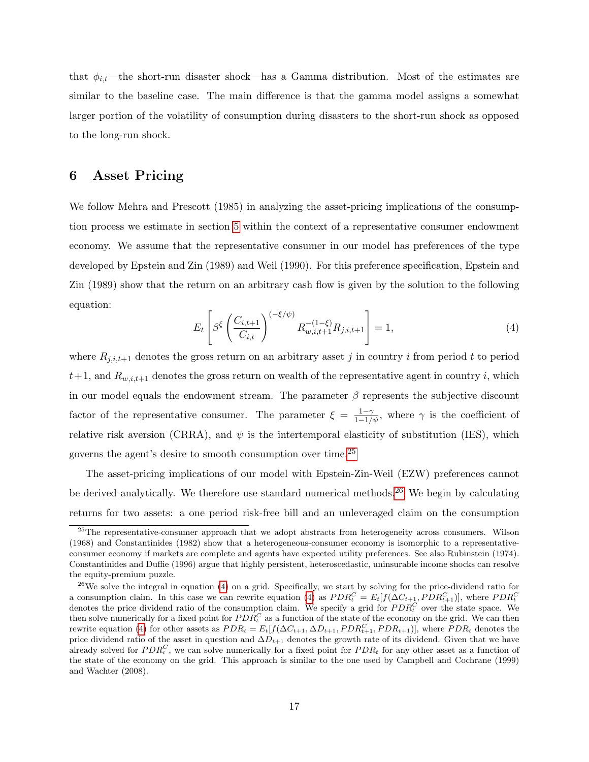that  $\phi_{i,t}$ —the short-run disaster shock—has a Gamma distribution. Most of the estimates are similar to the baseline case. The main difference is that the gamma model assigns a somewhat larger portion of the volatility of consumption during disasters to the short-run shock as opposed to the long-run shock.

# <span id="page-17-0"></span>6 Asset Pricing

We follow Mehra and Prescott (1985) in analyzing the asset-pricing implications of the consumption process we estimate in section [5](#page-12-0) within the context of a representative consumer endowment economy. We assume that the representative consumer in our model has preferences of the type developed by Epstein and Zin (1989) and Weil (1990). For this preference specification, Epstein and Zin (1989) show that the return on an arbitrary cash flow is given by the solution to the following equation:

<span id="page-17-3"></span>
$$
E_t\left[\beta^{\xi}\left(\frac{C_{i,t+1}}{C_{i,t}}\right)^{(-\xi/\psi)}R_{w,i,t+1}^{-(1-\xi)}R_{j,i,t+1}\right] = 1,
$$
\n(4)

where  $R_{j,i,t+1}$  denotes the gross return on an arbitrary asset j in country i from period t to period  $t+1$ , and  $R_{w,i,t+1}$  denotes the gross return on wealth of the representative agent in country i, which in our model equals the endowment stream. The parameter  $\beta$  represents the subjective discount factor of the representative consumer. The parameter  $\xi = \frac{1-\gamma}{1-1/\psi}$ , where  $\gamma$  is the coefficient of relative risk aversion (CRRA), and  $\psi$  is the intertemporal elasticity of substitution (IES), which governs the agent's desire to smooth consumption over time.[25](#page-17-1)

The asset-pricing implications of our model with Epstein-Zin-Weil (EZW) preferences cannot be derived analytically. We therefore use standard numerical methods.<sup>[26](#page-17-2)</sup> We begin by calculating returns for two assets: a one period risk-free bill and an unleveraged claim on the consumption

<span id="page-17-1"></span><sup>&</sup>lt;sup>25</sup>The representative-consumer approach that we adopt abstracts from heterogeneity across consumers. Wilson (1968) and Constantinides (1982) show that a heterogeneous-consumer economy is isomorphic to a representativeconsumer economy if markets are complete and agents have expected utility preferences. See also Rubinstein (1974). Constantinides and Duffie (1996) argue that highly persistent, heteroscedastic, uninsurable income shocks can resolve the equity-premium puzzle.

<span id="page-17-2"></span> $26$ We solve the integral in equation [\(4\)](#page-17-3) on a grid. Specifically, we start by solving for the price-dividend ratio for a consumption claim. In this case we can rewrite equation [\(4\)](#page-17-3) as  $PDR_t^C = E_t[f(\Delta C_{t+1}, PDR_{t+1}^C)],$  where  $PDR_t^C$ denotes the price dividend ratio of the consumption claim. We specify a grid for  $PDR<sub>t</sub><sup>C</sup>$  over the state space. We then solve numerically for a fixed point for  $PDR_t^C$  as a function of the state of the economy on the grid. We can then rewrite equation [\(4\)](#page-17-3) for other assets as  $PDR_t = E_t[f(\Delta C_{t+1}, \Delta D_{t+1}, PDR_{t+1}^C], PDR_{t+1})]$ , where  $PDR_t$  denotes the price dividend ratio of the asset in question and  $\Delta D_{t+1}$  denotes the growth rate of its dividend. Given that we have already solved for  $PDR_t^C$ , we can solve numerically for a fixed point for  $PDR_t$  for any other asset as a function of the state of the economy on the grid. This approach is similar to the one used by Campbell and Cochrane (1999) and Wachter (2008).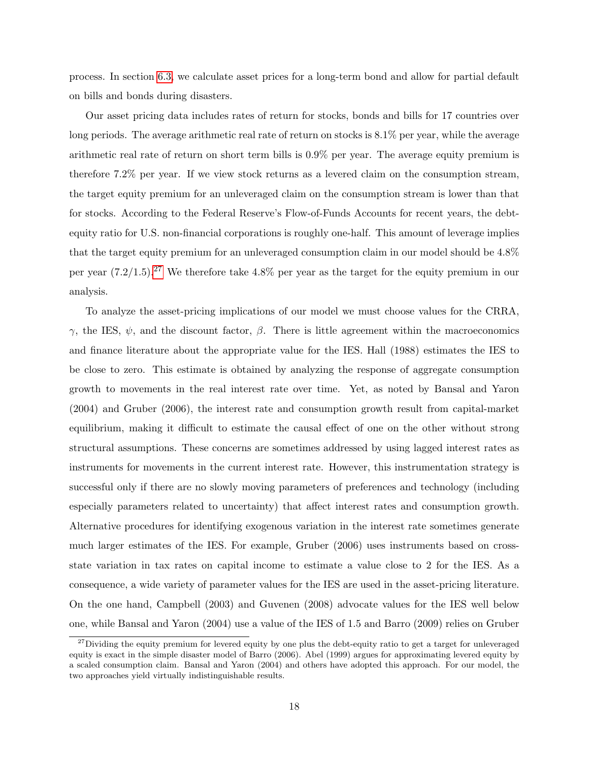process. In section [6.3,](#page-24-0) we calculate asset prices for a long-term bond and allow for partial default on bills and bonds during disasters.

Our asset pricing data includes rates of return for stocks, bonds and bills for 17 countries over long periods. The average arithmetic real rate of return on stocks is 8.1% per year, while the average arithmetic real rate of return on short term bills is 0.9% per year. The average equity premium is therefore 7.2% per year. If we view stock returns as a levered claim on the consumption stream, the target equity premium for an unleveraged claim on the consumption stream is lower than that for stocks. According to the Federal Reserve's Flow-of-Funds Accounts for recent years, the debtequity ratio for U.S. non-financial corporations is roughly one-half. This amount of leverage implies that the target equity premium for an unleveraged consumption claim in our model should be 4.8% per year  $(7.2/1.5).^{27}$  $(7.2/1.5).^{27}$  $(7.2/1.5).^{27}$  We therefore take 4.8% per year as the target for the equity premium in our analysis.

To analyze the asset-pricing implications of our model we must choose values for the CRRA,  $γ$ , the IES,  $ψ$ , and the discount factor,  $β$ . There is little agreement within the macroeconomics and finance literature about the appropriate value for the IES. Hall (1988) estimates the IES to be close to zero. This estimate is obtained by analyzing the response of aggregate consumption growth to movements in the real interest rate over time. Yet, as noted by Bansal and Yaron (2004) and Gruber (2006), the interest rate and consumption growth result from capital-market equilibrium, making it difficult to estimate the causal effect of one on the other without strong structural assumptions. These concerns are sometimes addressed by using lagged interest rates as instruments for movements in the current interest rate. However, this instrumentation strategy is successful only if there are no slowly moving parameters of preferences and technology (including especially parameters related to uncertainty) that affect interest rates and consumption growth. Alternative procedures for identifying exogenous variation in the interest rate sometimes generate much larger estimates of the IES. For example, Gruber (2006) uses instruments based on crossstate variation in tax rates on capital income to estimate a value close to 2 for the IES. As a consequence, a wide variety of parameter values for the IES are used in the asset-pricing literature. On the one hand, Campbell (2003) and Guvenen (2008) advocate values for the IES well below one, while Bansal and Yaron (2004) use a value of the IES of 1.5 and Barro (2009) relies on Gruber

<span id="page-18-0"></span> $27$ Dividing the equity premium for levered equity by one plus the debt-equity ratio to get a target for unleveraged equity is exact in the simple disaster model of Barro (2006). Abel (1999) argues for approximating levered equity by a scaled consumption claim. Bansal and Yaron (2004) and others have adopted this approach. For our model, the two approaches yield virtually indistinguishable results.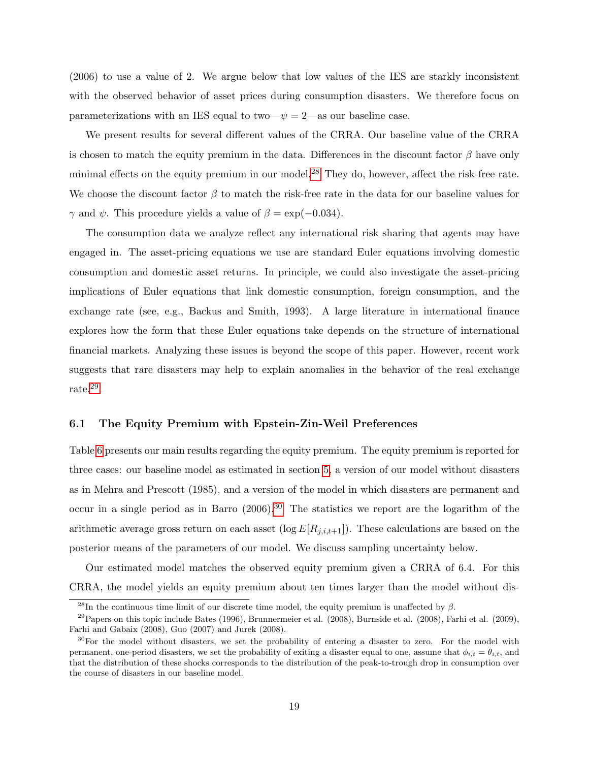(2006) to use a value of 2. We argue below that low values of the IES are starkly inconsistent with the observed behavior of asset prices during consumption disasters. We therefore focus on parameterizations with an IES equal to two— $\psi = 2$ —as our baseline case.

We present results for several different values of the CRRA. Our baseline value of the CRRA is chosen to match the equity premium in the data. Differences in the discount factor  $\beta$  have only minimal effects on the equity premium in our model.<sup>[28](#page-19-0)</sup> They do, however, affect the risk-free rate. We choose the discount factor  $\beta$  to match the risk-free rate in the data for our baseline values for  $\gamma$  and  $\psi$ . This procedure yields a value of  $\beta = \exp(-0.034)$ .

The consumption data we analyze reflect any international risk sharing that agents may have engaged in. The asset-pricing equations we use are standard Euler equations involving domestic consumption and domestic asset returns. In principle, we could also investigate the asset-pricing implications of Euler equations that link domestic consumption, foreign consumption, and the exchange rate (see, e.g., Backus and Smith, 1993). A large literature in international finance explores how the form that these Euler equations take depends on the structure of international financial markets. Analyzing these issues is beyond the scope of this paper. However, recent work suggests that rare disasters may help to explain anomalies in the behavior of the real exchange rate.[29](#page-19-1)

#### 6.1 The Equity Premium with Epstein-Zin-Weil Preferences

Table [6](#page--1-9) presents our main results regarding the equity premium. The equity premium is reported for three cases: our baseline model as estimated in section [5,](#page-12-0) a version of our model without disasters as in Mehra and Prescott (1985), and a version of the model in which disasters are permanent and occur in a single period as in Barro  $(2006).^{30}$  $(2006).^{30}$  $(2006).^{30}$  The statistics we report are the logarithm of the arithmetic average gross return on each asset ( $\log E[R_{j,i,t+1}]$ ). These calculations are based on the posterior means of the parameters of our model. We discuss sampling uncertainty below.

Our estimated model matches the observed equity premium given a CRRA of 6.4. For this CRRA, the model yields an equity premium about ten times larger than the model without dis-

<span id="page-19-1"></span><span id="page-19-0"></span><sup>&</sup>lt;sup>28</sup>In the continuous time limit of our discrete time model, the equity premium is unaffected by  $\beta$ .

 $^{29}$ Papers on this topic include Bates (1996), Brunnermeier et al. (2008), Burnside et al. (2008), Farhi et al. (2009), Farhi and Gabaix (2008), Guo (2007) and Jurek (2008).

<span id="page-19-2"></span> $30$ For the model without disasters, we set the probability of entering a disaster to zero. For the model with permanent, one-period disasters, we set the probability of exiting a disaster equal to one, assume that  $\phi_{i,t} = \theta_{i,t}$ , and that the distribution of these shocks corresponds to the distribution of the peak-to-trough drop in consumption over the course of disasters in our baseline model.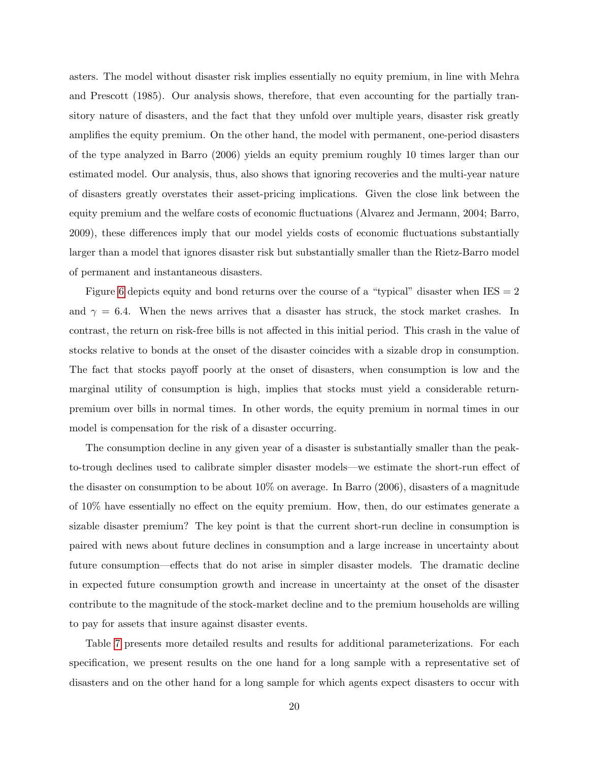asters. The model without disaster risk implies essentially no equity premium, in line with Mehra and Prescott (1985). Our analysis shows, therefore, that even accounting for the partially transitory nature of disasters, and the fact that they unfold over multiple years, disaster risk greatly amplifies the equity premium. On the other hand, the model with permanent, one-period disasters of the type analyzed in Barro (2006) yields an equity premium roughly 10 times larger than our estimated model. Our analysis, thus, also shows that ignoring recoveries and the multi-year nature of disasters greatly overstates their asset-pricing implications. Given the close link between the equity premium and the welfare costs of economic fluctuations (Alvarez and Jermann, 2004; Barro, 2009), these differences imply that our model yields costs of economic fluctuations substantially larger than a model that ignores disaster risk but substantially smaller than the Rietz-Barro model of permanent and instantaneous disasters.

Figure [6](#page--1-10) depicts equity and bond returns over the course of a "typical" disaster when  $IES = 2$ and  $\gamma = 6.4$ . When the news arrives that a disaster has struck, the stock market crashes. In contrast, the return on risk-free bills is not affected in this initial period. This crash in the value of stocks relative to bonds at the onset of the disaster coincides with a sizable drop in consumption. The fact that stocks payoff poorly at the onset of disasters, when consumption is low and the marginal utility of consumption is high, implies that stocks must yield a considerable returnpremium over bills in normal times. In other words, the equity premium in normal times in our model is compensation for the risk of a disaster occurring.

The consumption decline in any given year of a disaster is substantially smaller than the peakto-trough declines used to calibrate simpler disaster models—we estimate the short-run effect of the disaster on consumption to be about 10% on average. In Barro (2006), disasters of a magnitude of 10% have essentially no effect on the equity premium. How, then, do our estimates generate a sizable disaster premium? The key point is that the current short-run decline in consumption is paired with news about future declines in consumption and a large increase in uncertainty about future consumption—effects that do not arise in simpler disaster models. The dramatic decline in expected future consumption growth and increase in uncertainty at the onset of the disaster contribute to the magnitude of the stock-market decline and to the premium households are willing to pay for assets that insure against disaster events.

Table [7](#page--1-11) presents more detailed results and results for additional parameterizations. For each specification, we present results on the one hand for a long sample with a representative set of disasters and on the other hand for a long sample for which agents expect disasters to occur with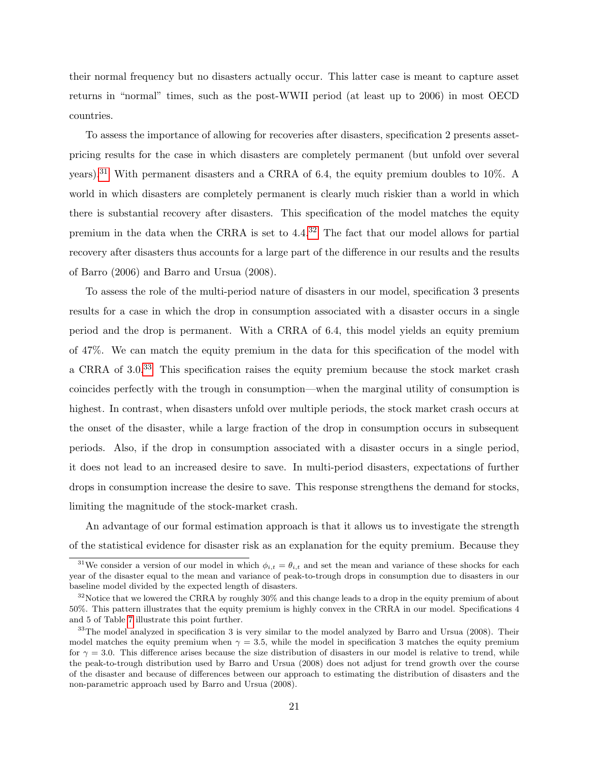their normal frequency but no disasters actually occur. This latter case is meant to capture asset returns in "normal" times, such as the post-WWII period (at least up to 2006) in most OECD countries.

To assess the importance of allowing for recoveries after disasters, specification 2 presents assetpricing results for the case in which disasters are completely permanent (but unfold over several years).<sup>[31](#page-21-0)</sup> With permanent disasters and a CRRA of 6.4, the equity premium doubles to 10%. A world in which disasters are completely permanent is clearly much riskier than a world in which there is substantial recovery after disasters. This specification of the model matches the equity premium in the data when the CRRA is set to 4.4.[32](#page-21-1) The fact that our model allows for partial recovery after disasters thus accounts for a large part of the difference in our results and the results of Barro (2006) and Barro and Ursua (2008).

To assess the role of the multi-period nature of disasters in our model, specification 3 presents results for a case in which the drop in consumption associated with a disaster occurs in a single period and the drop is permanent. With a CRRA of 6.4, this model yields an equity premium of 47%. We can match the equity premium in the data for this specification of the model with a CRRA of 3.0.[33](#page-21-2) This specification raises the equity premium because the stock market crash coincides perfectly with the trough in consumption—when the marginal utility of consumption is highest. In contrast, when disasters unfold over multiple periods, the stock market crash occurs at the onset of the disaster, while a large fraction of the drop in consumption occurs in subsequent periods. Also, if the drop in consumption associated with a disaster occurs in a single period, it does not lead to an increased desire to save. In multi-period disasters, expectations of further drops in consumption increase the desire to save. This response strengthens the demand for stocks, limiting the magnitude of the stock-market crash.

An advantage of our formal estimation approach is that it allows us to investigate the strength of the statistical evidence for disaster risk as an explanation for the equity premium. Because they

<span id="page-21-0"></span><sup>&</sup>lt;sup>31</sup>We consider a version of our model in which  $\phi_{i,t} = \theta_{i,t}$  and set the mean and variance of these shocks for each year of the disaster equal to the mean and variance of peak-to-trough drops in consumption due to disasters in our baseline model divided by the expected length of disasters.

<span id="page-21-1"></span> $32\%$ Notice that we lowered the CRRA by roughly  $30\%$  and this change leads to a drop in the equity premium of about 50%. This pattern illustrates that the equity premium is highly convex in the CRRA in our model. Specifications 4 and 5 of Table [7](#page--1-11) illustrate this point further.

<span id="page-21-2"></span><sup>&</sup>lt;sup>33</sup>The model analyzed in specification 3 is very similar to the model analyzed by Barro and Ursua (2008). Their model matches the equity premium when  $\gamma = 3.5$ , while the model in specification 3 matches the equity premium for  $\gamma = 3.0$ . This difference arises because the size distribution of disasters in our model is relative to trend, while the peak-to-trough distribution used by Barro and Ursua (2008) does not adjust for trend growth over the course of the disaster and because of differences between our approach to estimating the distribution of disasters and the non-parametric approach used by Barro and Ursua (2008).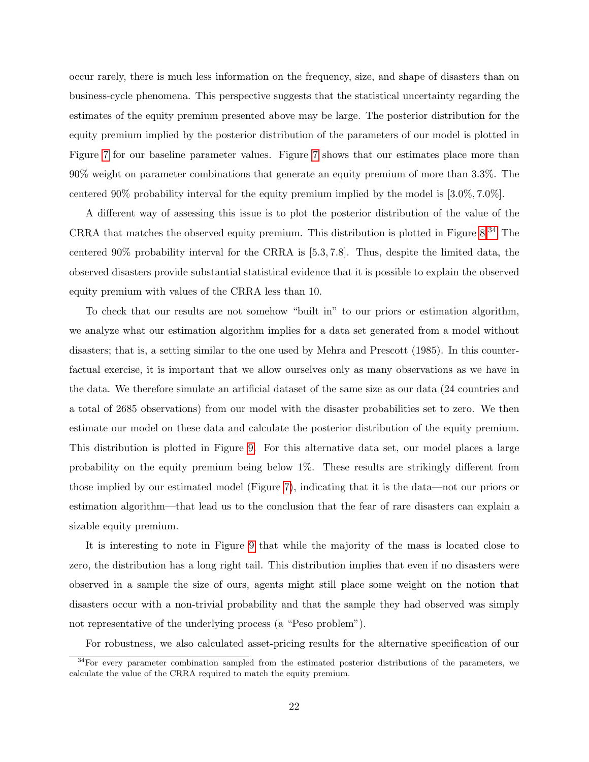occur rarely, there is much less information on the frequency, size, and shape of disasters than on business-cycle phenomena. This perspective suggests that the statistical uncertainty regarding the estimates of the equity premium presented above may be large. The posterior distribution for the equity premium implied by the posterior distribution of the parameters of our model is plotted in Figure [7](#page--1-12) for our baseline parameter values. Figure [7](#page--1-12) shows that our estimates place more than 90% weight on parameter combinations that generate an equity premium of more than 3.3%. The centered 90% probability interval for the equity premium implied by the model is [3.0%, 7.0%].

A different way of assessing this issue is to plot the posterior distribution of the value of the CRRA that matches the observed equity premium. This distribution is plotted in Figure [8.](#page--1-13)[34](#page-22-0) The centered 90% probability interval for the CRRA is [5.3, 7.8]. Thus, despite the limited data, the observed disasters provide substantial statistical evidence that it is possible to explain the observed equity premium with values of the CRRA less than 10.

To check that our results are not somehow "built in" to our priors or estimation algorithm, we analyze what our estimation algorithm implies for a data set generated from a model without disasters; that is, a setting similar to the one used by Mehra and Prescott (1985). In this counterfactual exercise, it is important that we allow ourselves only as many observations as we have in the data. We therefore simulate an artificial dataset of the same size as our data (24 countries and a total of 2685 observations) from our model with the disaster probabilities set to zero. We then estimate our model on these data and calculate the posterior distribution of the equity premium. This distribution is plotted in Figure [9.](#page--1-14) For this alternative data set, our model places a large probability on the equity premium being below 1%. These results are strikingly different from those implied by our estimated model (Figure [7\)](#page--1-12), indicating that it is the data—not our priors or estimation algorithm—that lead us to the conclusion that the fear of rare disasters can explain a sizable equity premium.

It is interesting to note in Figure [9](#page--1-14) that while the majority of the mass is located close to zero, the distribution has a long right tail. This distribution implies that even if no disasters were observed in a sample the size of ours, agents might still place some weight on the notion that disasters occur with a non-trivial probability and that the sample they had observed was simply not representative of the underlying process (a "Peso problem").

<span id="page-22-0"></span>For robustness, we also calculated asset-pricing results for the alternative specification of our

 $34$ For every parameter combination sampled from the estimated posterior distributions of the parameters, we calculate the value of the CRRA required to match the equity premium.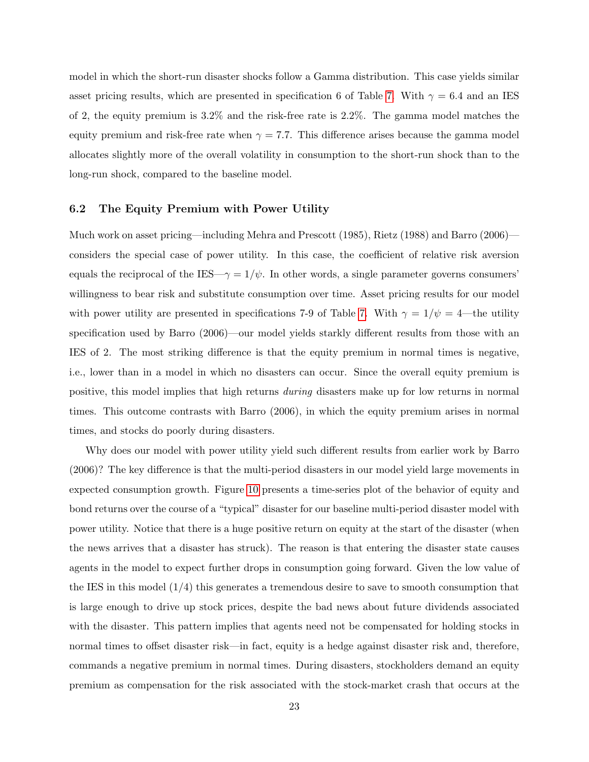model in which the short-run disaster shocks follow a Gamma distribution. This case yields similar asset pricing results, which are presented in specification 6 of Table [7.](#page--1-11) With  $\gamma = 6.4$  and an IES of 2, the equity premium is 3.2% and the risk-free rate is 2.2%. The gamma model matches the equity premium and risk-free rate when  $\gamma = 7.7$ . This difference arises because the gamma model allocates slightly more of the overall volatility in consumption to the short-run shock than to the long-run shock, compared to the baseline model.

#### 6.2 The Equity Premium with Power Utility

Much work on asset pricing—including Mehra and Prescott (1985), Rietz (1988) and Barro (2006) considers the special case of power utility. In this case, the coefficient of relative risk aversion equals the reciprocal of the IES— $\gamma = 1/\psi$ . In other words, a single parameter governs consumers' willingness to bear risk and substitute consumption over time. Asset pricing results for our model with power utility are presented in specifications 7-9 of Table [7.](#page--1-11) With  $\gamma = 1/\psi = 4$ —the utility specification used by Barro (2006)—our model yields starkly different results from those with an IES of 2. The most striking difference is that the equity premium in normal times is negative, i.e., lower than in a model in which no disasters can occur. Since the overall equity premium is positive, this model implies that high returns during disasters make up for low returns in normal times. This outcome contrasts with Barro (2006), in which the equity premium arises in normal times, and stocks do poorly during disasters.

Why does our model with power utility yield such different results from earlier work by Barro (2006)? The key difference is that the multi-period disasters in our model yield large movements in expected consumption growth. Figure [10](#page--1-15) presents a time-series plot of the behavior of equity and bond returns over the course of a "typical" disaster for our baseline multi-period disaster model with power utility. Notice that there is a huge positive return on equity at the start of the disaster (when the news arrives that a disaster has struck). The reason is that entering the disaster state causes agents in the model to expect further drops in consumption going forward. Given the low value of the IES in this model (1/4) this generates a tremendous desire to save to smooth consumption that is large enough to drive up stock prices, despite the bad news about future dividends associated with the disaster. This pattern implies that agents need not be compensated for holding stocks in normal times to offset disaster risk—in fact, equity is a hedge against disaster risk and, therefore, commands a negative premium in normal times. During disasters, stockholders demand an equity premium as compensation for the risk associated with the stock-market crash that occurs at the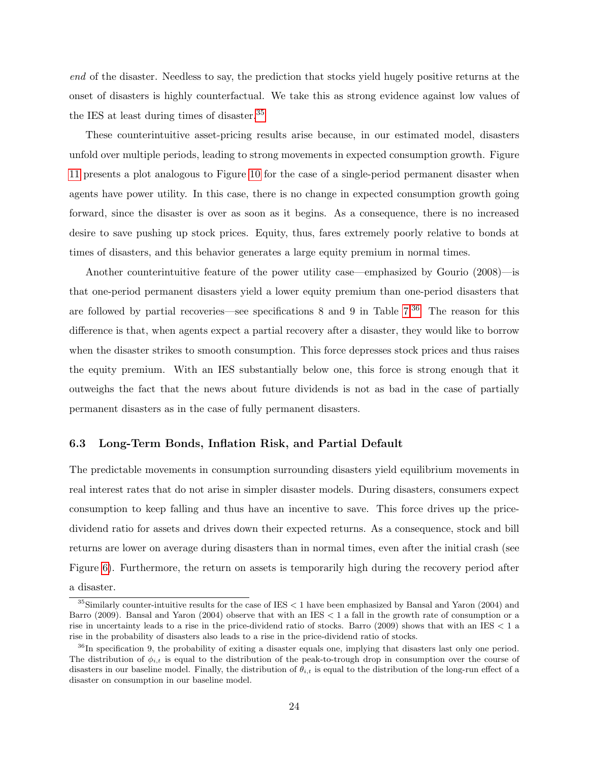end of the disaster. Needless to say, the prediction that stocks yield hugely positive returns at the onset of disasters is highly counterfactual. We take this as strong evidence against low values of the IES at least during times of disaster.[35](#page-24-1)

These counterintuitive asset-pricing results arise because, in our estimated model, disasters unfold over multiple periods, leading to strong movements in expected consumption growth. Figure [11](#page--1-16) presents a plot analogous to Figure [10](#page--1-15) for the case of a single-period permanent disaster when agents have power utility. In this case, there is no change in expected consumption growth going forward, since the disaster is over as soon as it begins. As a consequence, there is no increased desire to save pushing up stock prices. Equity, thus, fares extremely poorly relative to bonds at times of disasters, and this behavior generates a large equity premium in normal times.

Another counterintuitive feature of the power utility case—emphasized by Gourio (2008)—is that one-period permanent disasters yield a lower equity premium than one-period disasters that are followed by partial recoveries—see specifications 8 and 9 in Table  $7<sup>36</sup>$  $7<sup>36</sup>$  $7<sup>36</sup>$  The reason for this difference is that, when agents expect a partial recovery after a disaster, they would like to borrow when the disaster strikes to smooth consumption. This force depresses stock prices and thus raises the equity premium. With an IES substantially below one, this force is strong enough that it outweighs the fact that the news about future dividends is not as bad in the case of partially permanent disasters as in the case of fully permanent disasters.

#### <span id="page-24-0"></span>6.3 Long-Term Bonds, Inflation Risk, and Partial Default

The predictable movements in consumption surrounding disasters yield equilibrium movements in real interest rates that do not arise in simpler disaster models. During disasters, consumers expect consumption to keep falling and thus have an incentive to save. This force drives up the pricedividend ratio for assets and drives down their expected returns. As a consequence, stock and bill returns are lower on average during disasters than in normal times, even after the initial crash (see Figure [6\)](#page--1-10). Furthermore, the return on assets is temporarily high during the recovery period after a disaster.

<span id="page-24-1"></span> $35$ Similarly counter-intuitive results for the case of IES  $<$  1 have been emphasized by Bansal and Yaron (2004) and Barro (2009). Bansal and Yaron (2004) observe that with an IES < 1 a fall in the growth rate of consumption or a rise in uncertainty leads to a rise in the price-dividend ratio of stocks. Barro (2009) shows that with an IES  $< 1$  a rise in the probability of disasters also leads to a rise in the price-dividend ratio of stocks.

<span id="page-24-2"></span><sup>&</sup>lt;sup>36</sup>In specification 9, the probability of exiting a disaster equals one, implying that disasters last only one period. The distribution of  $\phi_{i,t}$  is equal to the distribution of the peak-to-trough drop in consumption over the course of disasters in our baseline model. Finally, the distribution of  $\theta_{i,t}$  is equal to the distribution of the long-run effect of a disaster on consumption in our baseline model.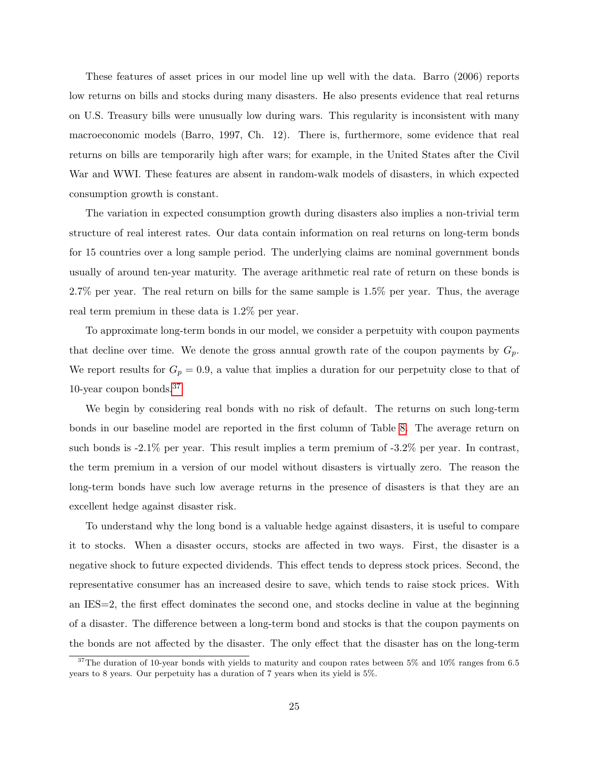These features of asset prices in our model line up well with the data. Barro (2006) reports low returns on bills and stocks during many disasters. He also presents evidence that real returns on U.S. Treasury bills were unusually low during wars. This regularity is inconsistent with many macroeconomic models (Barro, 1997, Ch. 12). There is, furthermore, some evidence that real returns on bills are temporarily high after wars; for example, in the United States after the Civil War and WWI. These features are absent in random-walk models of disasters, in which expected consumption growth is constant.

The variation in expected consumption growth during disasters also implies a non-trivial term structure of real interest rates. Our data contain information on real returns on long-term bonds for 15 countries over a long sample period. The underlying claims are nominal government bonds usually of around ten-year maturity. The average arithmetic real rate of return on these bonds is 2.7% per year. The real return on bills for the same sample is 1.5% per year. Thus, the average real term premium in these data is 1.2% per year.

To approximate long-term bonds in our model, we consider a perpetuity with coupon payments that decline over time. We denote the gross annual growth rate of the coupon payments by  $G_p$ . We report results for  $G_p = 0.9$ , a value that implies a duration for our perpetuity close to that of 10-year coupon bonds.[37](#page-25-0)

We begin by considering real bonds with no risk of default. The returns on such long-term bonds in our baseline model are reported in the first column of Table [8.](#page--1-17) The average return on such bonds is -2.1% per year. This result implies a term premium of -3.2% per year. In contrast, the term premium in a version of our model without disasters is virtually zero. The reason the long-term bonds have such low average returns in the presence of disasters is that they are an excellent hedge against disaster risk.

To understand why the long bond is a valuable hedge against disasters, it is useful to compare it to stocks. When a disaster occurs, stocks are affected in two ways. First, the disaster is a negative shock to future expected dividends. This effect tends to depress stock prices. Second, the representative consumer has an increased desire to save, which tends to raise stock prices. With an IES=2, the first effect dominates the second one, and stocks decline in value at the beginning of a disaster. The difference between a long-term bond and stocks is that the coupon payments on the bonds are not affected by the disaster. The only effect that the disaster has on the long-term

<span id="page-25-0"></span> $37$ The duration of 10-year bonds with yields to maturity and coupon rates between 5% and 10% ranges from 6.5 years to 8 years. Our perpetuity has a duration of 7 years when its yield is 5%.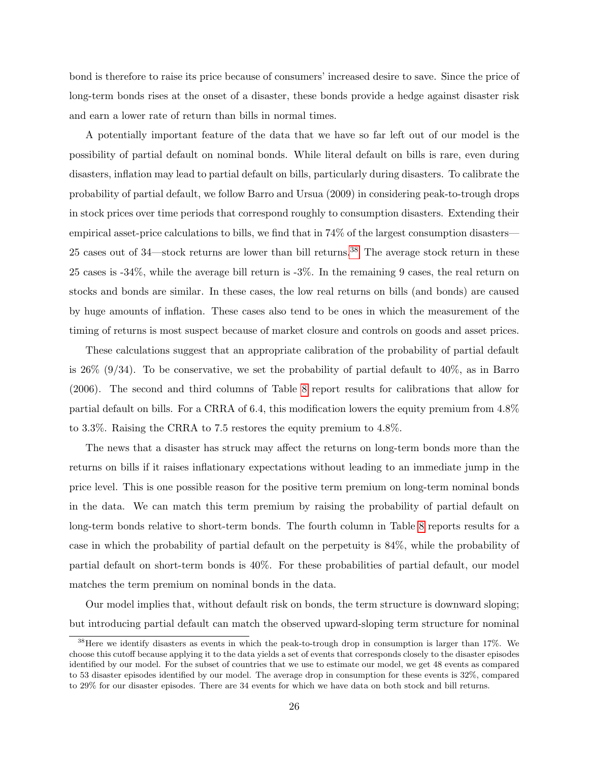bond is therefore to raise its price because of consumers' increased desire to save. Since the price of long-term bonds rises at the onset of a disaster, these bonds provide a hedge against disaster risk and earn a lower rate of return than bills in normal times.

A potentially important feature of the data that we have so far left out of our model is the possibility of partial default on nominal bonds. While literal default on bills is rare, even during disasters, inflation may lead to partial default on bills, particularly during disasters. To calibrate the probability of partial default, we follow Barro and Ursua (2009) in considering peak-to-trough drops in stock prices over time periods that correspond roughly to consumption disasters. Extending their empirical asset-price calculations to bills, we find that in 74% of the largest consumption disasters— 25 cases out of 34—stock returns are lower than bill returns.<sup>[38](#page-26-0)</sup> The average stock return in these 25 cases is -34%, while the average bill return is -3%. In the remaining 9 cases, the real return on stocks and bonds are similar. In these cases, the low real returns on bills (and bonds) are caused by huge amounts of inflation. These cases also tend to be ones in which the measurement of the timing of returns is most suspect because of market closure and controls on goods and asset prices.

These calculations suggest that an appropriate calibration of the probability of partial default is 26%  $(9/34)$ . To be conservative, we set the probability of partial default to 40%, as in Barro (2006). The second and third columns of Table [8](#page--1-17) report results for calibrations that allow for partial default on bills. For a CRRA of 6.4, this modification lowers the equity premium from 4.8% to 3.3%. Raising the CRRA to 7.5 restores the equity premium to 4.8%.

The news that a disaster has struck may affect the returns on long-term bonds more than the returns on bills if it raises inflationary expectations without leading to an immediate jump in the price level. This is one possible reason for the positive term premium on long-term nominal bonds in the data. We can match this term premium by raising the probability of partial default on long-term bonds relative to short-term bonds. The fourth column in Table [8](#page--1-17) reports results for a case in which the probability of partial default on the perpetuity is 84%, while the probability of partial default on short-term bonds is 40%. For these probabilities of partial default, our model matches the term premium on nominal bonds in the data.

Our model implies that, without default risk on bonds, the term structure is downward sloping; but introducing partial default can match the observed upward-sloping term structure for nominal

<span id="page-26-0"></span><sup>38</sup>Here we identify disasters as events in which the peak-to-trough drop in consumption is larger than 17%. We choose this cutoff because applying it to the data yields a set of events that corresponds closely to the disaster episodes identified by our model. For the subset of countries that we use to estimate our model, we get 48 events as compared to 53 disaster episodes identified by our model. The average drop in consumption for these events is 32%, compared to 29% for our disaster episodes. There are 34 events for which we have data on both stock and bill returns.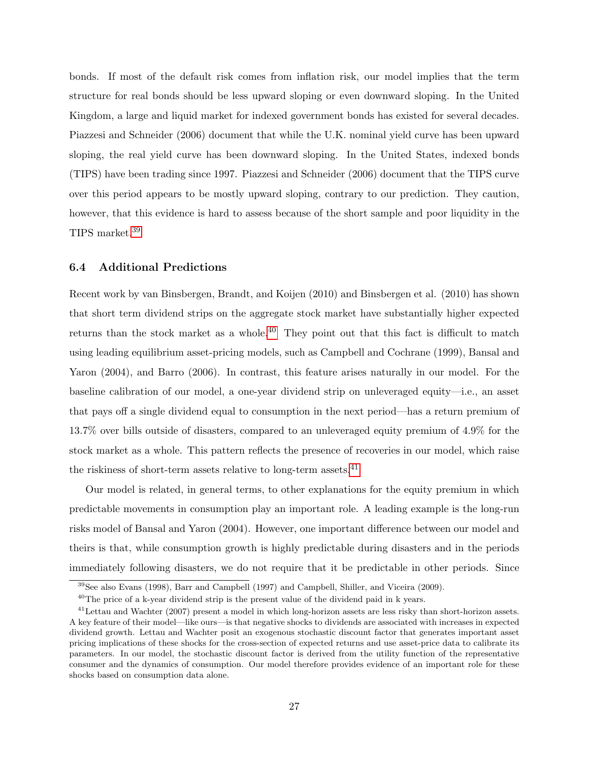bonds. If most of the default risk comes from inflation risk, our model implies that the term structure for real bonds should be less upward sloping or even downward sloping. In the United Kingdom, a large and liquid market for indexed government bonds has existed for several decades. Piazzesi and Schneider (2006) document that while the U.K. nominal yield curve has been upward sloping, the real yield curve has been downward sloping. In the United States, indexed bonds (TIPS) have been trading since 1997. Piazzesi and Schneider (2006) document that the TIPS curve over this period appears to be mostly upward sloping, contrary to our prediction. They caution, however, that this evidence is hard to assess because of the short sample and poor liquidity in the TIPS market.[39](#page-27-0)

#### 6.4 Additional Predictions

Recent work by van Binsbergen, Brandt, and Koijen (2010) and Binsbergen et al. (2010) has shown that short term dividend strips on the aggregate stock market have substantially higher expected returns than the stock market as a whole.<sup>[40](#page-27-1)</sup> They point out that this fact is difficult to match using leading equilibrium asset-pricing models, such as Campbell and Cochrane (1999), Bansal and Yaron (2004), and Barro (2006). In contrast, this feature arises naturally in our model. For the baseline calibration of our model, a one-year dividend strip on unleveraged equity—i.e., an asset that pays off a single dividend equal to consumption in the next period—has a return premium of 13.7% over bills outside of disasters, compared to an unleveraged equity premium of 4.9% for the stock market as a whole. This pattern reflects the presence of recoveries in our model, which raise the riskiness of short-term assets relative to long-term assets.<sup>[41](#page-27-2)</sup>

Our model is related, in general terms, to other explanations for the equity premium in which predictable movements in consumption play an important role. A leading example is the long-run risks model of Bansal and Yaron (2004). However, one important difference between our model and theirs is that, while consumption growth is highly predictable during disasters and in the periods immediately following disasters, we do not require that it be predictable in other periods. Since

<span id="page-27-1"></span><span id="page-27-0"></span><sup>39</sup>See also Evans (1998), Barr and Campbell (1997) and Campbell, Shiller, and Viceira (2009).

<span id="page-27-2"></span> $40$ The price of a k-year dividend strip is the present value of the dividend paid in k years.

 $^{41}$ Lettau and Wachter (2007) present a model in which long-horizon assets are less risky than short-horizon assets. A key feature of their model—like ours—is that negative shocks to dividends are associated with increases in expected dividend growth. Lettau and Wachter posit an exogenous stochastic discount factor that generates important asset pricing implications of these shocks for the cross-section of expected returns and use asset-price data to calibrate its parameters. In our model, the stochastic discount factor is derived from the utility function of the representative consumer and the dynamics of consumption. Our model therefore provides evidence of an important role for these shocks based on consumption data alone.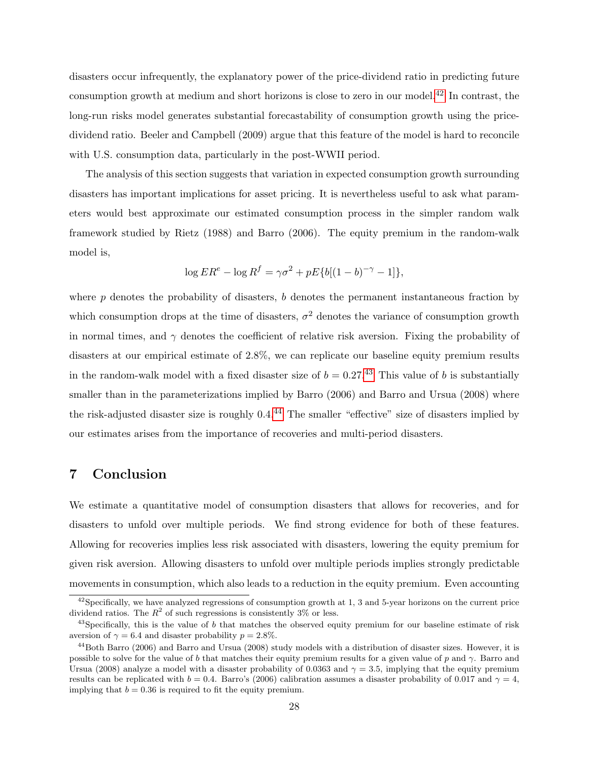disasters occur infrequently, the explanatory power of the price-dividend ratio in predicting future consumption growth at medium and short horizons is close to zero in our model.[42](#page-28-1) In contrast, the long-run risks model generates substantial forecastability of consumption growth using the pricedividend ratio. Beeler and Campbell (2009) argue that this feature of the model is hard to reconcile with U.S. consumption data, particularly in the post-WWII period.

The analysis of this section suggests that variation in expected consumption growth surrounding disasters has important implications for asset pricing. It is nevertheless useful to ask what parameters would best approximate our estimated consumption process in the simpler random walk framework studied by Rietz (1988) and Barro (2006). The equity premium in the random-walk model is,

$$
\log ER^{e} - \log R^{f} = \gamma \sigma^{2} + pE\{b[(1-b)^{-\gamma} - 1]\},\
$$

where  $p$  denotes the probability of disasters,  $b$  denotes the permanent instantaneous fraction by which consumption drops at the time of disasters,  $\sigma^2$  denotes the variance of consumption growth in normal times, and  $\gamma$  denotes the coefficient of relative risk aversion. Fixing the probability of disasters at our empirical estimate of 2.8%, we can replicate our baseline equity premium results in the random-walk model with a fixed disaster size of  $b = 0.27^{43}$  $b = 0.27^{43}$  $b = 0.27^{43}$  This value of b is substantially smaller than in the parameterizations implied by Barro (2006) and Barro and Ursua (2008) where the risk-adjusted disaster size is roughly 0.4.[44](#page-28-3) The smaller "effective" size of disasters implied by our estimates arises from the importance of recoveries and multi-period disasters.

# <span id="page-28-0"></span>7 Conclusion

We estimate a quantitative model of consumption disasters that allows for recoveries, and for disasters to unfold over multiple periods. We find strong evidence for both of these features. Allowing for recoveries implies less risk associated with disasters, lowering the equity premium for given risk aversion. Allowing disasters to unfold over multiple periods implies strongly predictable movements in consumption, which also leads to a reduction in the equity premium. Even accounting

<span id="page-28-1"></span> $^{42}$ Specifically, we have analyzed regressions of consumption growth at 1, 3 and 5-year horizons on the current price dividend ratios. The  $R^2$  of such regressions is consistently 3% or less.

<span id="page-28-2"></span> $43$ Specifically, this is the value of b that matches the observed equity premium for our baseline estimate of risk aversion of  $\gamma = 6.4$  and disaster probability  $p = 2.8\%$ .

<span id="page-28-3"></span> $^{44}$ Both Barro (2006) and Barro and Ursua (2008) study models with a distribution of disaster sizes. However, it is possible to solve for the value of b that matches their equity premium results for a given value of p and  $\gamma$ . Barro and Ursua (2008) analyze a model with a disaster probability of 0.0363 and  $\gamma = 3.5$ , implying that the equity premium results can be replicated with  $b = 0.4$ . Barro's (2006) calibration assumes a disaster probability of 0.017 and  $\gamma = 4$ . implying that  $b = 0.36$  is required to fit the equity premium.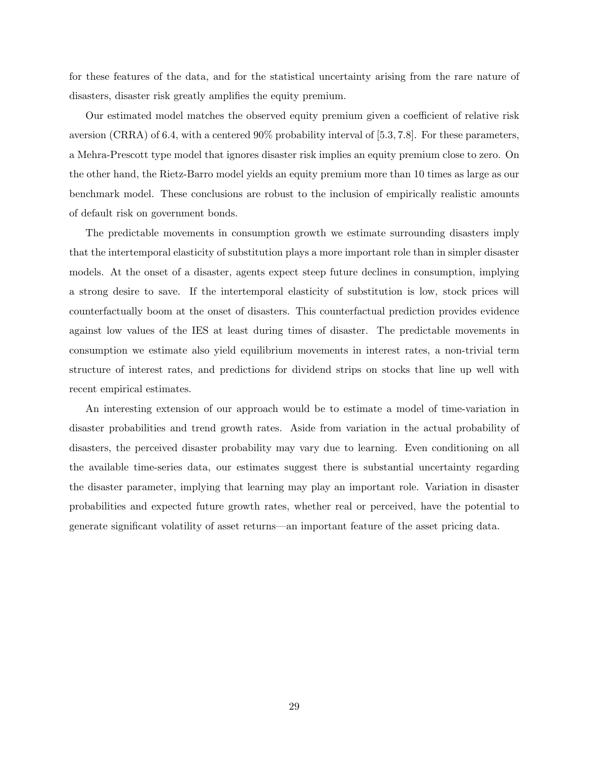for these features of the data, and for the statistical uncertainty arising from the rare nature of disasters, disaster risk greatly amplifies the equity premium.

Our estimated model matches the observed equity premium given a coefficient of relative risk aversion (CRRA) of 6.4, with a centered 90% probability interval of [5.3, 7.8]. For these parameters, a Mehra-Prescott type model that ignores disaster risk implies an equity premium close to zero. On the other hand, the Rietz-Barro model yields an equity premium more than 10 times as large as our benchmark model. These conclusions are robust to the inclusion of empirically realistic amounts of default risk on government bonds.

The predictable movements in consumption growth we estimate surrounding disasters imply that the intertemporal elasticity of substitution plays a more important role than in simpler disaster models. At the onset of a disaster, agents expect steep future declines in consumption, implying a strong desire to save. If the intertemporal elasticity of substitution is low, stock prices will counterfactually boom at the onset of disasters. This counterfactual prediction provides evidence against low values of the IES at least during times of disaster. The predictable movements in consumption we estimate also yield equilibrium movements in interest rates, a non-trivial term structure of interest rates, and predictions for dividend strips on stocks that line up well with recent empirical estimates.

An interesting extension of our approach would be to estimate a model of time-variation in disaster probabilities and trend growth rates. Aside from variation in the actual probability of disasters, the perceived disaster probability may vary due to learning. Even conditioning on all the available time-series data, our estimates suggest there is substantial uncertainty regarding the disaster parameter, implying that learning may play an important role. Variation in disaster probabilities and expected future growth rates, whether real or perceived, have the potential to generate significant volatility of asset returns—an important feature of the asset pricing data.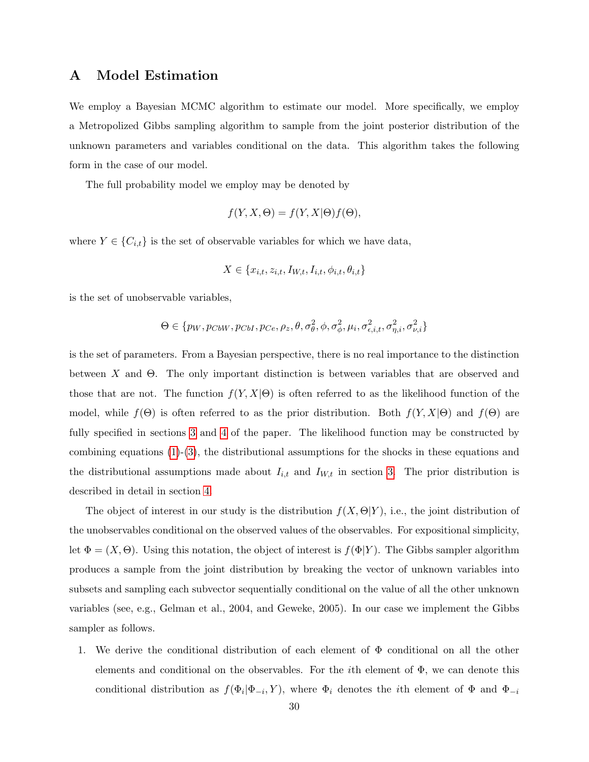## <span id="page-30-0"></span>A Model Estimation

We employ a Bayesian MCMC algorithm to estimate our model. More specifically, we employ a Metropolized Gibbs sampling algorithm to sample from the joint posterior distribution of the unknown parameters and variables conditional on the data. This algorithm takes the following form in the case of our model.

The full probability model we employ may be denoted by

$$
f(Y, X, \Theta) = f(Y, X | \Theta) f(\Theta),
$$

where  $Y \in \{C_{i,t}\}\$ is the set of observable variables for which we have data,

$$
X \in \{x_{i,t}, z_{i,t}, I_{W,t}, I_{i,t}, \phi_{i,t}, \theta_{i,t}\}
$$

is the set of unobservable variables,

$$
\Theta \in \{p_W, p_{CbW}, p_{CbI}, p_{Ce}, \rho_z, \theta, \sigma_{\theta}^2, \phi, \sigma_{\phi}^2, \mu_i, \sigma_{\epsilon,i,t}^2, \sigma_{\eta,i}^2, \sigma_{\nu,i}^2\}
$$

is the set of parameters. From a Bayesian perspective, there is no real importance to the distinction between X and Θ. The only important distinction is between variables that are observed and those that are not. The function  $f(Y, X | \Theta)$  is often referred to as the likelihood function of the model, while  $f(\Theta)$  is often referred to as the prior distribution. Both  $f(Y, X | \Theta)$  and  $f(\Theta)$  are fully specified in sections [3](#page-7-0) and [4](#page-10-0) of the paper. The likelihood function may be constructed by combining equations [\(1\)](#page-7-1)-[\(3\)](#page-9-1), the distributional assumptions for the shocks in these equations and the distributional assumptions made about  $I_{i,t}$  and  $I_{W,t}$  in section [3.](#page-7-0) The prior distribution is described in detail in section [4.](#page-10-0)

The object of interest in our study is the distribution  $f(X, \Theta|Y)$ , i.e., the joint distribution of the unobservables conditional on the observed values of the observables. For expositional simplicity, let  $\Phi = (X, \Theta)$ . Using this notation, the object of interest is  $f(\Phi|Y)$ . The Gibbs sampler algorithm produces a sample from the joint distribution by breaking the vector of unknown variables into subsets and sampling each subvector sequentially conditional on the value of all the other unknown variables (see, e.g., Gelman et al., 2004, and Geweke, 2005). In our case we implement the Gibbs sampler as follows.

1. We derive the conditional distribution of each element of  $\Phi$  conditional on all the other elements and conditional on the observables. For the *i*th element of  $\Phi$ , we can denote this conditional distribution as  $f(\Phi_i|\Phi_{-i}, Y)$ , where  $\Phi_i$  denotes the *i*th element of  $\Phi$  and  $\Phi_{-i}$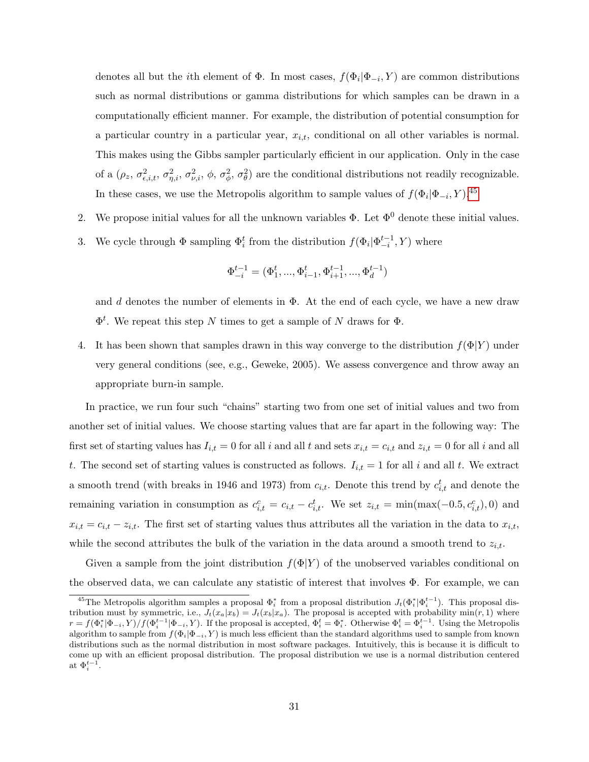denotes all but the *i*th element of  $\Phi$ . In most cases,  $f(\Phi_i | \Phi_{-i}, Y)$  are common distributions such as normal distributions or gamma distributions for which samples can be drawn in a computationally efficient manner. For example, the distribution of potential consumption for a particular country in a particular year,  $x_{i,t}$ , conditional on all other variables is normal. This makes using the Gibbs sampler particularly efficient in our application. Only in the case of a  $(\rho_z, \sigma_{\epsilon,i,t}^2, \sigma_{\eta,i}^2, \sigma_{\nu,i}^2, \phi, \sigma_{\phi}^2, \sigma_{\theta}^2)$  are the conditional distributions not readily recognizable. In these cases, we use the Metropolis algorithm to sample values of  $f(\Phi_i|\Phi_{-i}, Y)$ .<sup>[45](#page-31-0)</sup>

- 2. We propose initial values for all the unknown variables  $\Phi$ . Let  $\Phi^0$  denote these initial values.
- 3. We cycle through  $\Phi$  sampling  $\Phi_i^t$  from the distribution  $f(\Phi_i | \Phi_{-i}^{t-1}, Y)$  where

$$
\Phi^{t-1}_{-i} = (\Phi^t_1,...,\Phi^t_{i-1},\Phi^{t-1}_{i+1},...,\Phi^{t-1}_{d})
$$

and d denotes the number of elements in  $\Phi$ . At the end of each cycle, we have a new draw  $\Phi^t$ . We repeat this step N times to get a sample of N draws for  $\Phi$ .

4. It has been shown that samples drawn in this way converge to the distribution  $f(\Phi|Y)$  under very general conditions (see, e.g., Geweke, 2005). We assess convergence and throw away an appropriate burn-in sample.

In practice, we run four such "chains" starting two from one set of initial values and two from another set of initial values. We choose starting values that are far apart in the following way: The first set of starting values has  $I_{i,t} = 0$  for all i and all t and sets  $x_{i,t} = c_{i,t}$  and  $z_{i,t} = 0$  for all i and all t. The second set of starting values is constructed as follows.  $I_{i,t} = 1$  for all i and all t. We extract a smooth trend (with breaks in 1946 and 1973) from  $c_{i,t}$ . Denote this trend by  $c_{i,t}^t$  and denote the remaining variation in consumption as  $c_{i,t}^c = c_{i,t} - c_{i,t}^t$ . We set  $z_{i,t} = \min(\max(-0.5, c_{i,t}^c), 0)$  and  $x_{i,t} = c_{i,t} - z_{i,t}$ . The first set of starting values thus attributes all the variation in the data to  $x_{i,t}$ , while the second attributes the bulk of the variation in the data around a smooth trend to  $z_{i,t}$ .

Given a sample from the joint distribution  $f(\Phi|Y)$  of the unobserved variables conditional on the observed data, we can calculate any statistic of interest that involves  $\Phi$ . For example, we can

<span id="page-31-0"></span><sup>&</sup>lt;sup>45</sup>The Metropolis algorithm samples a proposal  $\Phi_i^*$  from a proposal distribution  $J_t(\Phi_i^* | \Phi_i^{t-1})$ . This proposal distribution must by symmetric, i.e.,  $J_t(x_a|x_b) = J_t(x_b|x_a)$ . The proposal is accepted with probability min $(r, 1)$  where  $r = f(\Phi_i^* | \Phi_{-i}, Y)/f(\Phi_i^{t-1} | \Phi_{-i}, Y)$ . If the proposal is accepted,  $\Phi_i^t = \Phi_i^*$ . Otherwise  $\Phi_i^t = \Phi_i^{t-1}$ . Using the Metropolis algorithm to sample from  $f(\Phi_i|\Phi_{-i}, Y)$  is much less efficient than the standard algorithms used to sample from known distributions such as the normal distribution in most software packages. Intuitively, this is because it is difficult to come up with an efficient proposal distribution. The proposal distribution we use is a normal distribution centered at  $\Phi_i^{t-1}$ .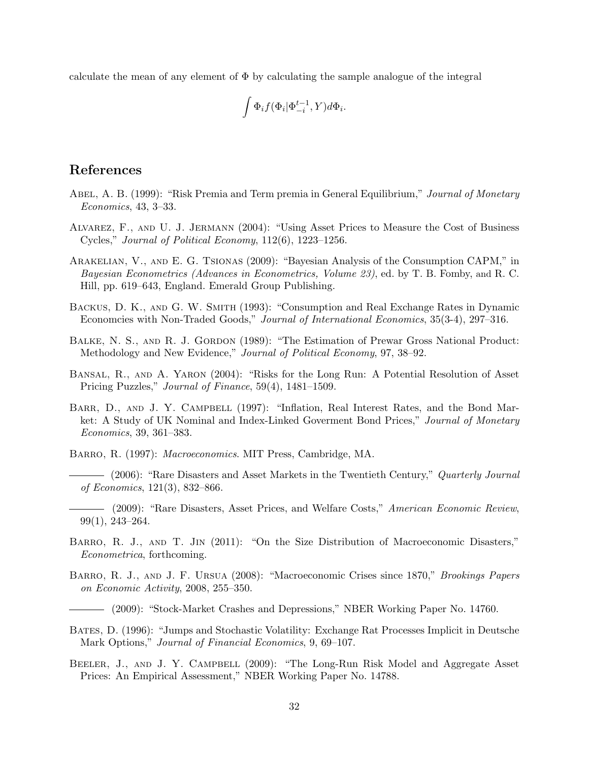calculate the mean of any element of  $\Phi$  by calculating the sample analogue of the integral

$$
\int \Phi_i f(\Phi_i | \Phi_{-i}^{t-1}, Y) d\Phi_i.
$$

## References

- ABEL, A. B. (1999): "Risk Premia and Term premia in General Equilibrium," Journal of Monetary Economics, 43, 3–33.
- Alvarez, F., and U. J. Jermann (2004): "Using Asset Prices to Measure the Cost of Business Cycles," Journal of Political Economy, 112(6), 1223–1256.
- Arakelian, V., and E. G. Tsionas (2009): "Bayesian Analysis of the Consumption CAPM," in Bayesian Econometrics (Advances in Econometrics, Volume 23), ed. by T. B. Fomby, and R. C. Hill, pp. 619–643, England. Emerald Group Publishing.
- Backus, D. K., and G. W. Smith (1993): "Consumption and Real Exchange Rates in Dynamic Economcies with Non-Traded Goods," Journal of International Economics, 35(3-4), 297–316.
- BALKE, N. S., AND R. J. GORDON (1989): "The Estimation of Prewar Gross National Product: Methodology and New Evidence," Journal of Political Economy, 97, 38–92.
- Bansal, R., and A. Yaron (2004): "Risks for the Long Run: A Potential Resolution of Asset Pricing Puzzles," Journal of Finance, 59(4), 1481–1509.
- BARR, D., AND J. Y. CAMPBELL (1997): "Inflation, Real Interest Rates, and the Bond Market: A Study of UK Nominal and Index-Linked Goverment Bond Prices," Journal of Monetary Economics, 39, 361–383.
- Barro, R. (1997): Macroeconomics. MIT Press, Cambridge, MA.
	- (2006): "Rare Disasters and Asset Markets in the Twentieth Century," Quarterly Journal of Economics, 121(3), 832–866.
- (2009): "Rare Disasters, Asset Prices, and Welfare Costs," American Economic Review, 99(1), 243–264.
- BARRO, R. J., AND T. JIN (2011): "On the Size Distribution of Macroeconomic Disasters," Econometrica, forthcoming.
- Barro, R. J., and J. F. Ursua (2008): "Macroeconomic Crises since 1870," Brookings Papers on Economic Activity, 2008, 255–350.
	- (2009): "Stock-Market Crashes and Depressions," NBER Working Paper No. 14760.
- Bates, D. (1996): "Jumps and Stochastic Volatility: Exchange Rat Processes Implicit in Deutsche Mark Options," Journal of Financial Economics, 9, 69–107.
- Beeler, J., and J. Y. Campbell (2009): "The Long-Run Risk Model and Aggregate Asset Prices: An Empirical Assessment," NBER Working Paper No. 14788.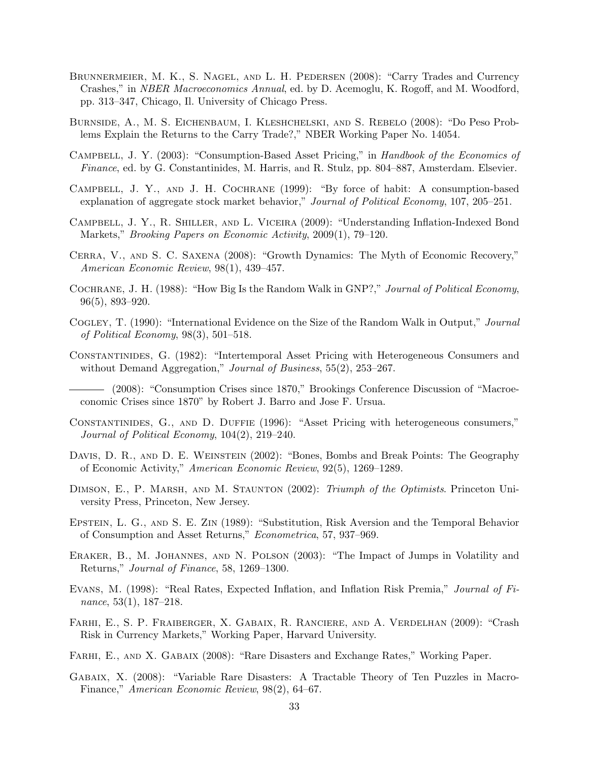- Brunnermeier, M. K., S. Nagel, and L. H. Pedersen (2008): "Carry Trades and Currency Crashes," in NBER Macroeconomics Annual, ed. by D. Acemoglu, K. Rogoff, and M. Woodford, pp. 313–347, Chicago, Il. University of Chicago Press.
- Burnside, A., M. S. Eichenbaum, I. Kleshchelski, and S. Rebelo (2008): "Do Peso Problems Explain the Returns to the Carry Trade?," NBER Working Paper No. 14054.
- Campbell, J. Y. (2003): "Consumption-Based Asset Pricing," in Handbook of the Economics of Finance, ed. by G. Constantinides, M. Harris, and R. Stulz, pp. 804–887, Amsterdam. Elsevier.
- Campbell, J. Y., and J. H. Cochrane (1999): "By force of habit: A consumption-based explanation of aggregate stock market behavior," Journal of Political Economy, 107, 205–251.
- Campbell, J. Y., R. Shiller, and L. Viceira (2009): "Understanding Inflation-Indexed Bond Markets," Brooking Papers on Economic Activity, 2009(1), 79–120.
- Cerra, V., and S. C. Saxena (2008): "Growth Dynamics: The Myth of Economic Recovery," American Economic Review, 98(1), 439–457.
- Cochrane, J. H. (1988): "How Big Is the Random Walk in GNP?," Journal of Political Economy, 96(5), 893–920.
- COGLEY, T. (1990): "International Evidence on the Size of the Random Walk in Output," Journal of Political Economy, 98(3), 501–518.
- Constantinides, G. (1982): "Intertemporal Asset Pricing with Heterogeneous Consumers and without Demand Aggregation," *Journal of Business*, 55(2), 253–267.
- (2008): "Consumption Crises since 1870," Brookings Conference Discussion of "Macroeconomic Crises since 1870" by Robert J. Barro and Jose F. Ursua.
- Constantinides, G., and D. Duffie (1996): "Asset Pricing with heterogeneous consumers," Journal of Political Economy, 104(2), 219–240.
- Davis, D. R., and D. E. Weinstein (2002): "Bones, Bombs and Break Points: The Geography of Economic Activity," American Economic Review, 92(5), 1269–1289.
- DIMSON, E., P. MARSH, AND M. STAUNTON (2002): Triumph of the Optimists. Princeton University Press, Princeton, New Jersey.
- Epstein, L. G., and S. E. Zin (1989): "Substitution, Risk Aversion and the Temporal Behavior of Consumption and Asset Returns," Econometrica, 57, 937–969.
- Eraker, B., M. Johannes, and N. Polson (2003): "The Impact of Jumps in Volatility and Returns," Journal of Finance, 58, 1269–1300.
- EVANS, M. (1998): "Real Rates, Expected Inflation, and Inflation Risk Premia," Journal of Finance, 53(1), 187–218.
- Farhi, E., S. P. Fraiberger, X. Gabaix, R. Ranciere, and A. Verdelhan (2009): "Crash Risk in Currency Markets," Working Paper, Harvard University.
- Farhi, E., and X. Gabaix (2008): "Rare Disasters and Exchange Rates," Working Paper.
- Gabaix, X. (2008): "Variable Rare Disasters: A Tractable Theory of Ten Puzzles in Macro-Finance," American Economic Review, 98(2), 64–67.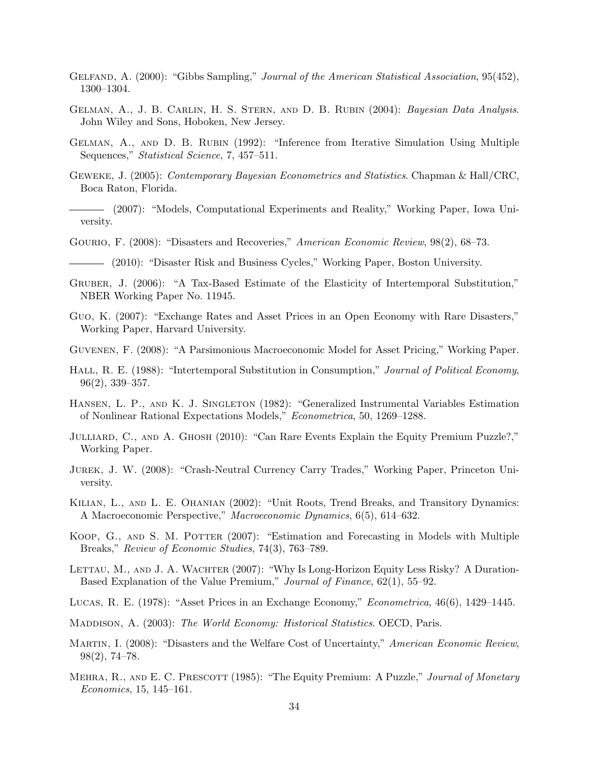- GELFAND, A. (2000): "Gibbs Sampling," Journal of the American Statistical Association, 95(452), 1300–1304.
- GELMAN, A., J. B. CARLIN, H. S. STERN, AND D. B. RUBIN (2004): Bayesian Data Analysis. John Wiley and Sons, Hoboken, New Jersey.
- Gelman, A., and D. B. Rubin (1992): "Inference from Iterative Simulation Using Multiple Sequences," *Statistical Science*, 7, 457–511.
- Geweke, J. (2005): Contemporary Bayesian Econometrics and Statistics. Chapman & Hall/CRC, Boca Raton, Florida.
- (2007): "Models, Computational Experiments and Reality," Working Paper, Iowa University.
- Gourio, F. (2008): "Disasters and Recoveries," American Economic Review, 98(2), 68–73.
- (2010): "Disaster Risk and Business Cycles," Working Paper, Boston University.
- Gruber, J. (2006): "A Tax-Based Estimate of the Elasticity of Intertemporal Substitution," NBER Working Paper No. 11945.
- Guo, K. (2007): "Exchange Rates and Asset Prices in an Open Economy with Rare Disasters," Working Paper, Harvard University.
- Guvenen, F. (2008): "A Parsimonious Macroeconomic Model for Asset Pricing," Working Paper.
- HALL, R. E. (1988): "Intertemporal Substitution in Consumption," Journal of Political Economy, 96(2), 339–357.
- Hansen, L. P., and K. J. Singleton (1982): "Generalized Instrumental Variables Estimation of Nonlinear Rational Expectations Models," Econometrica, 50, 1269–1288.
- JULLIARD, C., AND A. GHOSH (2010): "Can Rare Events Explain the Equity Premium Puzzle?," Working Paper.
- Jurek, J. W. (2008): "Crash-Neutral Currency Carry Trades," Working Paper, Princeton University.
- Kilian, L., and L. E. Ohanian (2002): "Unit Roots, Trend Breaks, and Transitory Dynamics: A Macroeconomic Perspective," Macroeconomic Dynamics, 6(5), 614–632.
- KOOP, G., AND S. M. POTTER (2007): "Estimation and Forecasting in Models with Multiple Breaks," Review of Economic Studies, 74(3), 763–789.
- LETTAU, M., AND J. A. WACHTER (2007): "Why Is Long-Horizon Equity Less Risky? A Duration-Based Explanation of the Value Premium," Journal of Finance, 62(1), 55–92.
- Lucas, R. E. (1978): "Asset Prices in an Exchange Economy," Econometrica, 46(6), 1429–1445.
- MADDISON, A. (2003): The World Economy: Historical Statistics. OECD, Paris.
- MARTIN, I. (2008): "Disasters and the Welfare Cost of Uncertainty," American Economic Review, 98(2), 74–78.
- MEHRA, R., AND E. C. PRESCOTT (1985): "The Equity Premium: A Puzzle," Journal of Monetary Economics, 15, 145–161.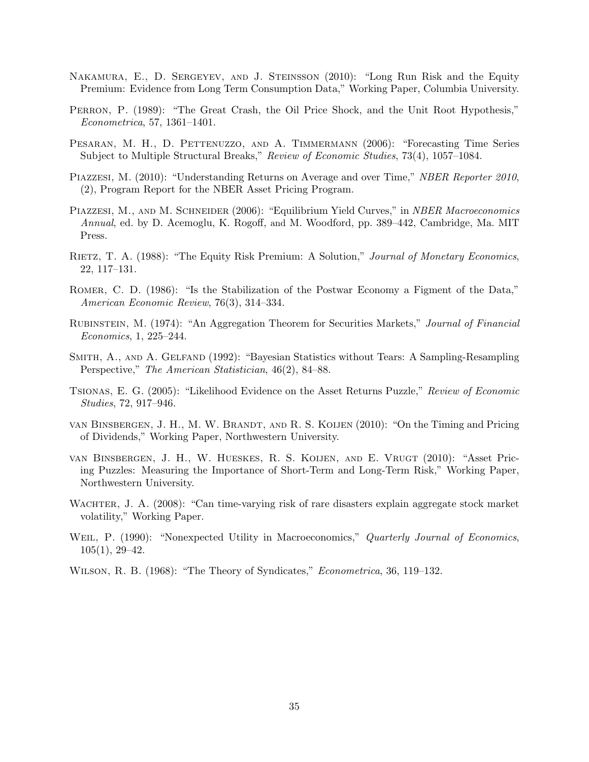- Nakamura, E., D. Sergeyev, and J. Steinsson (2010): "Long Run Risk and the Equity Premium: Evidence from Long Term Consumption Data," Working Paper, Columbia University.
- PERRON, P. (1989): "The Great Crash, the Oil Price Shock, and the Unit Root Hypothesis," Econometrica, 57, 1361–1401.
- PESARAN, M. H., D. PETTENUZZO, AND A. TIMMERMANN (2006): "Forecasting Time Series Subject to Multiple Structural Breaks," Review of Economic Studies, 73(4), 1057–1084.
- PIAZZESI, M. (2010): "Understanding Returns on Average and over Time," NBER Reporter 2010, (2), Program Report for the NBER Asset Pricing Program.
- PIAZZESI, M., AND M. SCHNEIDER (2006): "Equilibrium Yield Curves," in NBER Macroeconomics Annual, ed. by D. Acemoglu, K. Rogoff, and M. Woodford, pp. 389–442, Cambridge, Ma. MIT Press.
- RIETZ, T. A. (1988): "The Equity Risk Premium: A Solution," Journal of Monetary Economics, 22, 117–131.
- Romer, C. D. (1986): "Is the Stabilization of the Postwar Economy a Figment of the Data," American Economic Review, 76(3), 314–334.
- Rubinstein, M. (1974): "An Aggregation Theorem for Securities Markets," Journal of Financial Economics, 1, 225–244.
- Smith, A., and A. Gelfand (1992): "Bayesian Statistics without Tears: A Sampling-Resampling Perspective," The American Statistician, 46(2), 84–88.
- Tsionas, E. G. (2005): "Likelihood Evidence on the Asset Returns Puzzle," Review of Economic Studies, 72, 917–946.
- van Binsbergen, J. H., M. W. Brandt, and R. S. Koijen (2010): "On the Timing and Pricing of Dividends," Working Paper, Northwestern University.
- van Binsbergen, J. H., W. Hueskes, R. S. Koijen, and E. Vrugt (2010): "Asset Pricing Puzzles: Measuring the Importance of Short-Term and Long-Term Risk," Working Paper, Northwestern University.
- WACHTER, J. A. (2008): "Can time-varying risk of rare disasters explain aggregate stock market volatility," Working Paper.
- WEIL, P. (1990): "Nonexpected Utility in Macroeconomics," Quarterly Journal of Economics,  $105(1), 29-42.$
- Wilson, R. B. (1968): "The Theory of Syndicates," Econometrica, 36, 119–132.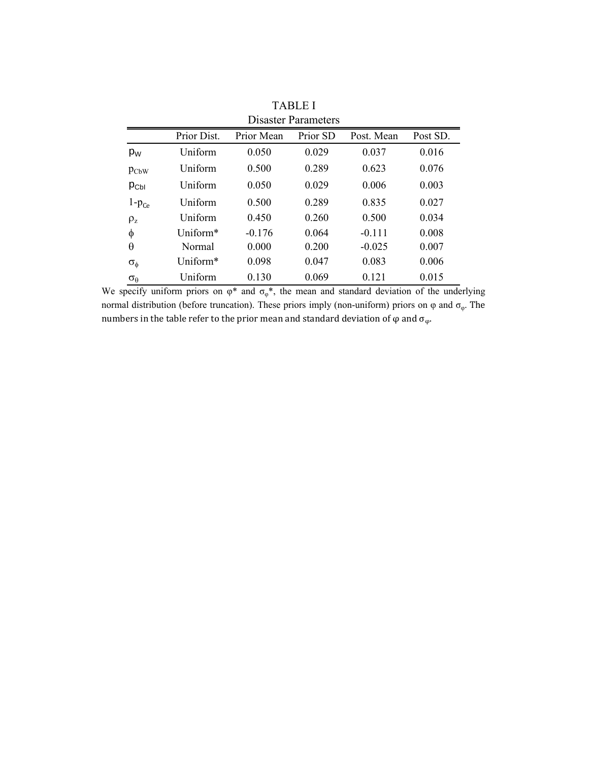|                            |                      |            | 17 VIJIJIJ 1 |            |          |  |  |  |  |
|----------------------------|----------------------|------------|--------------|------------|----------|--|--|--|--|
| <b>Disaster Parameters</b> |                      |            |              |            |          |  |  |  |  |
|                            | Prior Dist.          | Prior Mean | Prior SD     | Post. Mean | Post SD. |  |  |  |  |
| $p_W$                      | Uniform              | 0.050      | 0.029        | 0.037      | 0.016    |  |  |  |  |
| $p_{\text{CbW}}$           | Uniform              | 0.500      | 0.289        | 0.623      | 0.076    |  |  |  |  |
| P <sub>Chi</sub>           | Uniform              | 0.050      | 0.029        | 0.006      | 0.003    |  |  |  |  |
| $1-p_{Ce}$                 | Uniform              | 0.500      | 0.289        | 0.835      | 0.027    |  |  |  |  |
| $\rho_{\rm z}$             | Uniform              | 0.450      | 0.260        | 0.500      | 0.034    |  |  |  |  |
| φ                          | Uniform <sup>*</sup> | $-0.176$   | 0.064        | $-0.111$   | 0.008    |  |  |  |  |
| θ                          | Normal               | 0.000      | 0.200        | $-0.025$   | 0.007    |  |  |  |  |
| $\sigma_{\phi}$            | Uniform <sup>*</sup> | 0.098      | 0.047        | 0.083      | 0.006    |  |  |  |  |
| $\sigma_{\theta}$          | Uniform              | 0.130      | 0.069        | 0.121      | 0.015    |  |  |  |  |

TABLE I

We specify uniform priors on  $\varphi^*$  and  $\sigma_{\varphi}^*$ , the mean and standard deviation of the underlying normal distribution (before truncation). These priors imply (non-uniform) priors on φ and  $\sigma_{\varphi}$ . The numbers in the table refer to the prior mean and standard deviation of φ and  $σ<sub>φ</sub>$ .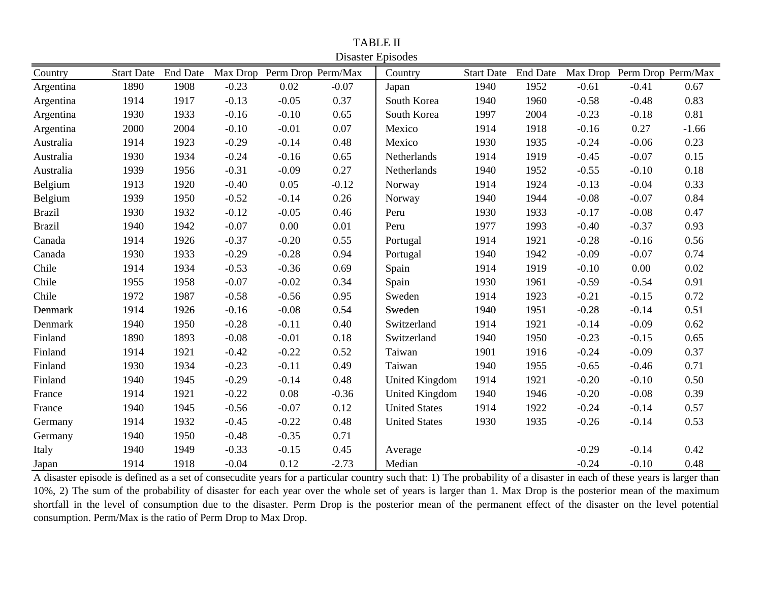| Disaster Episodes |                   |                 |         |                             |         |                       |                   |                 |         |                             |         |
|-------------------|-------------------|-----------------|---------|-----------------------------|---------|-----------------------|-------------------|-----------------|---------|-----------------------------|---------|
| Country           | <b>Start Date</b> | <b>End Date</b> |         | Max Drop Perm Drop Perm/Max |         | Country               | <b>Start Date</b> | <b>End Date</b> |         | Max Drop Perm Drop Perm/Max |         |
| Argentina         | 1890              | 1908            | $-0.23$ | 0.02                        | $-0.07$ | Japan                 | 1940              | 1952            | $-0.61$ | $-0.41$                     | 0.67    |
| Argentina         | 1914              | 1917            | $-0.13$ | $-0.05$                     | 0.37    | South Korea           | 1940              | 1960            | $-0.58$ | $-0.48$                     | 0.83    |
| Argentina         | 1930              | 1933            | $-0.16$ | $-0.10$                     | 0.65    | South Korea           | 1997              | 2004            | $-0.23$ | $-0.18$                     | 0.81    |
| Argentina         | 2000              | 2004            | $-0.10$ | $-0.01$                     | 0.07    | Mexico                | 1914              | 1918            | $-0.16$ | 0.27                        | $-1.66$ |
| Australia         | 1914              | 1923            | $-0.29$ | $-0.14$                     | 0.48    | Mexico                | 1930              | 1935            | $-0.24$ | $-0.06$                     | 0.23    |
| Australia         | 1930              | 1934            | $-0.24$ | $-0.16$                     | 0.65    | Netherlands           | 1914              | 1919            | $-0.45$ | $-0.07$                     | 0.15    |
| Australia         | 1939              | 1956            | $-0.31$ | $-0.09$                     | 0.27    | Netherlands           | 1940              | 1952            | $-0.55$ | $-0.10$                     | 0.18    |
| Belgium           | 1913              | 1920            | $-0.40$ | 0.05                        | $-0.12$ | Norway                | 1914              | 1924            | $-0.13$ | $-0.04$                     | 0.33    |
| Belgium           | 1939              | 1950            | $-0.52$ | $-0.14$                     | 0.26    | Norway                | 1940              | 1944            | $-0.08$ | $-0.07$                     | 0.84    |
| <b>Brazil</b>     | 1930              | 1932            | $-0.12$ | $-0.05$                     | 0.46    | Peru                  | 1930              | 1933            | $-0.17$ | $-0.08$                     | 0.47    |
| <b>Brazil</b>     | 1940              | 1942            | $-0.07$ | 0.00                        | 0.01    | Peru                  | 1977              | 1993            | $-0.40$ | $-0.37$                     | 0.93    |
| Canada            | 1914              | 1926            | $-0.37$ | $-0.20$                     | 0.55    | Portugal              | 1914              | 1921            | $-0.28$ | $-0.16$                     | 0.56    |
| Canada            | 1930              | 1933            | $-0.29$ | $-0.28$                     | 0.94    | Portugal              | 1940              | 1942            | $-0.09$ | $-0.07$                     | 0.74    |
| Chile             | 1914              | 1934            | $-0.53$ | $-0.36$                     | 0.69    | Spain                 | 1914              | 1919            | $-0.10$ | 0.00                        | 0.02    |
| Chile             | 1955              | 1958            | $-0.07$ | $-0.02$                     | 0.34    | Spain                 | 1930              | 1961            | $-0.59$ | $-0.54$                     | 0.91    |
| Chile             | 1972              | 1987            | $-0.58$ | $-0.56$                     | 0.95    | Sweden                | 1914              | 1923            | $-0.21$ | $-0.15$                     | 0.72    |
| Denmark           | 1914              | 1926            | $-0.16$ | $-0.08$                     | 0.54    | Sweden                | 1940              | 1951            | $-0.28$ | $-0.14$                     | 0.51    |
| Denmark           | 1940              | 1950            | $-0.28$ | $-0.11$                     | 0.40    | Switzerland           | 1914              | 1921            | $-0.14$ | $-0.09$                     | 0.62    |
| Finland           | 1890              | 1893            | $-0.08$ | $-0.01$                     | 0.18    | Switzerland           | 1940              | 1950            | $-0.23$ | $-0.15$                     | 0.65    |
| Finland           | 1914              | 1921            | $-0.42$ | $-0.22$                     | 0.52    | Taiwan                | 1901              | 1916            | $-0.24$ | $-0.09$                     | 0.37    |
| Finland           | 1930              | 1934            | $-0.23$ | $-0.11$                     | 0.49    | Taiwan                | 1940              | 1955            | $-0.65$ | $-0.46$                     | 0.71    |
| Finland           | 1940              | 1945            | $-0.29$ | $-0.14$                     | 0.48    | United Kingdom        | 1914              | 1921            | $-0.20$ | $-0.10$                     | 0.50    |
| France            | 1914              | 1921            | $-0.22$ | 0.08                        | $-0.36$ | <b>United Kingdom</b> | 1940              | 1946            | $-0.20$ | $-0.08$                     | 0.39    |
| France            | 1940              | 1945            | $-0.56$ | $-0.07$                     | 0.12    | <b>United States</b>  | 1914              | 1922            | $-0.24$ | $-0.14$                     | 0.57    |
| Germany           | 1914              | 1932            | $-0.45$ | $-0.22$                     | 0.48    | <b>United States</b>  | 1930              | 1935            | $-0.26$ | $-0.14$                     | 0.53    |
| Germany           | 1940              | 1950            | $-0.48$ | $-0.35$                     | 0.71    |                       |                   |                 |         |                             |         |
| Italy             | 1940              | 1949            | $-0.33$ | $-0.15$                     | 0.45    | Average               |                   |                 | $-0.29$ | $-0.14$                     | 0.42    |
| Japan             | 1914              | 1918            | $-0.04$ | 0.12                        | $-2.73$ | Median                |                   |                 | $-0.24$ | $-0.10$                     | 0.48    |

Disaster Episodes TABLE II

A disaster episode is defined as <sup>a</sup> set of consecudite years for <sup>a</sup> particular country such that: 1) The probability of <sup>a</sup> disaster in each of these years is larger than 10%, 2) The sum of the probability of disaster for each year over the whole set of years is larger than 1. Max Drop is the posterior mean of the maximum shortfall in the level of consumption due to the disaster. Perm Drop is the posterior mean of the permanen<sup>t</sup> effect of the disaster on the level potential consumption. Perm/Max is the ratio of Perm Drop to Max Drop.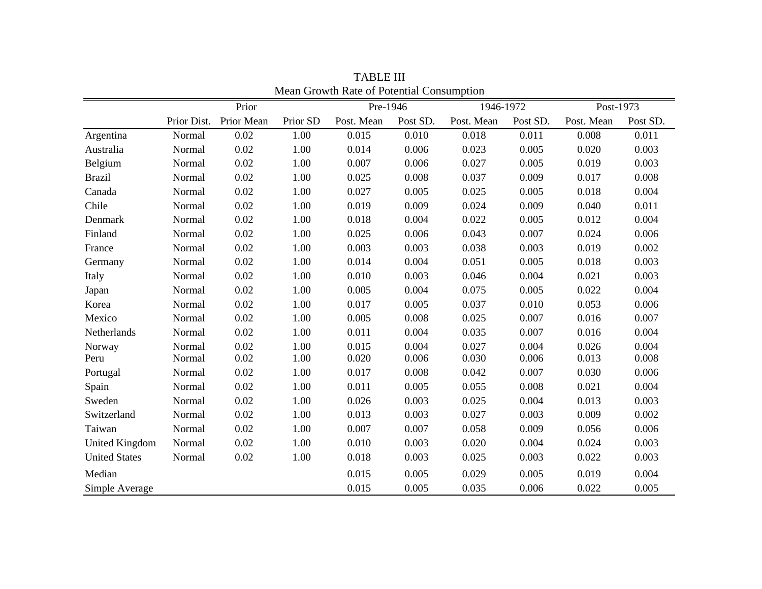| Mean Growth Rate of Potential Consumption |             |            |          |            |           |            |           |            |          |
|-------------------------------------------|-------------|------------|----------|------------|-----------|------------|-----------|------------|----------|
|                                           |             | Prior      | Pre-1946 |            | 1946-1972 |            | Post-1973 |            |          |
|                                           | Prior Dist. | Prior Mean | Prior SD | Post. Mean | Post SD.  | Post. Mean | Post SD.  | Post. Mean | Post SD. |
| Argentina                                 | Normal      | 0.02       | 1.00     | 0.015      | 0.010     | 0.018      | 0.011     | 0.008      | 0.011    |
| Australia                                 | Normal      | 0.02       | 1.00     | 0.014      | 0.006     | 0.023      | 0.005     | 0.020      | 0.003    |
| Belgium                                   | Normal      | 0.02       | 1.00     | 0.007      | 0.006     | 0.027      | 0.005     | 0.019      | 0.003    |
| <b>Brazil</b>                             | Normal      | 0.02       | 1.00     | 0.025      | 0.008     | 0.037      | 0.009     | 0.017      | 0.008    |
| Canada                                    | Normal      | 0.02       | 1.00     | 0.027      | 0.005     | 0.025      | 0.005     | 0.018      | 0.004    |
| Chile                                     | Normal      | 0.02       | 1.00     | 0.019      | 0.009     | 0.024      | 0.009     | 0.040      | 0.011    |
| Denmark                                   | Normal      | 0.02       | 1.00     | 0.018      | 0.004     | 0.022      | 0.005     | 0.012      | 0.004    |
| Finland                                   | Normal      | 0.02       | 1.00     | 0.025      | 0.006     | 0.043      | 0.007     | 0.024      | 0.006    |
| France                                    | Normal      | 0.02       | 1.00     | 0.003      | 0.003     | 0.038      | 0.003     | 0.019      | 0.002    |
| Germany                                   | Normal      | 0.02       | 1.00     | 0.014      | 0.004     | 0.051      | 0.005     | 0.018      | 0.003    |
| Italy                                     | Normal      | 0.02       | 1.00     | 0.010      | 0.003     | 0.046      | 0.004     | 0.021      | 0.003    |
| Japan                                     | Normal      | 0.02       | 1.00     | 0.005      | 0.004     | 0.075      | 0.005     | 0.022      | 0.004    |
| Korea                                     | Normal      | 0.02       | 1.00     | 0.017      | 0.005     | 0.037      | 0.010     | 0.053      | 0.006    |
| Mexico                                    | Normal      | 0.02       | 1.00     | 0.005      | 0.008     | 0.025      | 0.007     | 0.016      | 0.007    |
| Netherlands                               | Normal      | 0.02       | 1.00     | 0.011      | 0.004     | 0.035      | 0.007     | 0.016      | 0.004    |
| Norway                                    | Normal      | 0.02       | 1.00     | 0.015      | 0.004     | 0.027      | 0.004     | 0.026      | 0.004    |
| Peru                                      | Normal      | 0.02       | 1.00     | 0.020      | 0.006     | 0.030      | 0.006     | 0.013      | 0.008    |
| Portugal                                  | Normal      | 0.02       | 1.00     | 0.017      | 0.008     | 0.042      | 0.007     | 0.030      | 0.006    |
| Spain                                     | Normal      | 0.02       | 1.00     | 0.011      | 0.005     | 0.055      | 0.008     | 0.021      | 0.004    |
| Sweden                                    | Normal      | 0.02       | 1.00     | 0.026      | 0.003     | 0.025      | 0.004     | 0.013      | 0.003    |
| Switzerland                               | Normal      | 0.02       | 1.00     | 0.013      | 0.003     | 0.027      | 0.003     | 0.009      | 0.002    |
| Taiwan                                    | Normal      | 0.02       | 1.00     | 0.007      | 0.007     | 0.058      | 0.009     | 0.056      | 0.006    |
| United Kingdom                            | Normal      | 0.02       | 1.00     | 0.010      | 0.003     | 0.020      | 0.004     | 0.024      | 0.003    |
| <b>United States</b>                      | Normal      | 0.02       | 1.00     | 0.018      | 0.003     | 0.025      | 0.003     | 0.022      | 0.003    |
| Median                                    |             |            |          | 0.015      | 0.005     | 0.029      | 0.005     | 0.019      | 0.004    |
| Simple Average                            |             |            |          | 0.015      | 0.005     | 0.035      | 0.006     | 0.022      | 0.005    |

TABLE III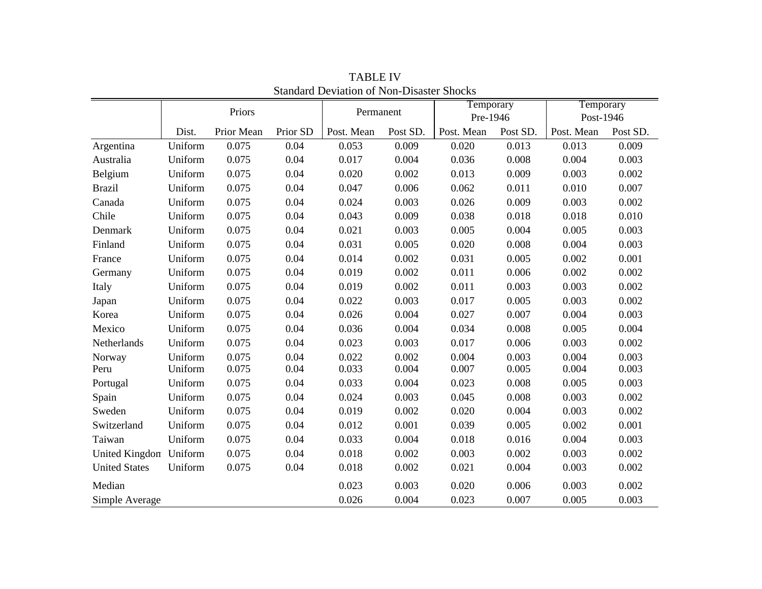|                        | Priors  |            |          | Permanent  |          |            | Temporary |            | Temporary |  |
|------------------------|---------|------------|----------|------------|----------|------------|-----------|------------|-----------|--|
|                        |         |            |          |            |          | Pre-1946   |           | Post-1946  |           |  |
|                        | Dist.   | Prior Mean | Prior SD | Post. Mean | Post SD. | Post. Mean | Post SD.  | Post. Mean | Post SD.  |  |
| Argentina              | Uniform | 0.075      | 0.04     | 0.053      | 0.009    | 0.020      | 0.013     | 0.013      | 0.009     |  |
| Australia              | Uniform | 0.075      | 0.04     | 0.017      | 0.004    | 0.036      | 0.008     | 0.004      | 0.003     |  |
| Belgium                | Uniform | 0.075      | 0.04     | 0.020      | 0.002    | 0.013      | 0.009     | 0.003      | 0.002     |  |
| <b>Brazil</b>          | Uniform | 0.075      | 0.04     | 0.047      | 0.006    | 0.062      | 0.011     | 0.010      | 0.007     |  |
| Canada                 | Uniform | 0.075      | 0.04     | 0.024      | 0.003    | 0.026      | 0.009     | 0.003      | 0.002     |  |
| Chile                  | Uniform | 0.075      | 0.04     | 0.043      | 0.009    | 0.038      | 0.018     | 0.018      | 0.010     |  |
| Denmark                | Uniform | 0.075      | 0.04     | 0.021      | 0.003    | 0.005      | 0.004     | 0.005      | 0.003     |  |
| Finland                | Uniform | 0.075      | 0.04     | 0.031      | 0.005    | 0.020      | 0.008     | 0.004      | 0.003     |  |
| France                 | Uniform | 0.075      | 0.04     | 0.014      | 0.002    | 0.031      | 0.005     | 0.002      | 0.001     |  |
| Germany                | Uniform | 0.075      | 0.04     | 0.019      | 0.002    | 0.011      | 0.006     | 0.002      | 0.002     |  |
| Italy                  | Uniform | 0.075      | 0.04     | 0.019      | 0.002    | 0.011      | 0.003     | 0.003      | 0.002     |  |
| Japan                  | Uniform | 0.075      | 0.04     | 0.022      | 0.003    | 0.017      | 0.005     | 0.003      | 0.002     |  |
| Korea                  | Uniform | 0.075      | 0.04     | 0.026      | 0.004    | 0.027      | 0.007     | 0.004      | 0.003     |  |
| Mexico                 | Uniform | 0.075      | 0.04     | 0.036      | 0.004    | 0.034      | 0.008     | 0.005      | 0.004     |  |
| Netherlands            | Uniform | 0.075      | 0.04     | 0.023      | 0.003    | 0.017      | 0.006     | 0.003      | 0.002     |  |
| Norway                 | Uniform | 0.075      | 0.04     | 0.022      | 0.002    | 0.004      | 0.003     | 0.004      | 0.003     |  |
| Peru                   | Uniform | 0.075      | 0.04     | 0.033      | 0.004    | 0.007      | 0.005     | 0.004      | 0.003     |  |
| Portugal               | Uniform | 0.075      | 0.04     | 0.033      | 0.004    | 0.023      | 0.008     | 0.005      | 0.003     |  |
| Spain                  | Uniform | 0.075      | 0.04     | 0.024      | 0.003    | 0.045      | 0.008     | 0.003      | 0.002     |  |
| Sweden                 | Uniform | 0.075      | 0.04     | 0.019      | 0.002    | 0.020      | 0.004     | 0.003      | 0.002     |  |
| Switzerland            | Uniform | 0.075      | 0.04     | 0.012      | 0.001    | 0.039      | 0.005     | 0.002      | 0.001     |  |
| Taiwan                 | Uniform | 0.075      | 0.04     | 0.033      | 0.004    | 0.018      | 0.016     | 0.004      | 0.003     |  |
| United Kingdon Uniform |         | 0.075      | 0.04     | 0.018      | 0.002    | 0.003      | 0.002     | 0.003      | 0.002     |  |
| <b>United States</b>   | Uniform | 0.075      | 0.04     | 0.018      | 0.002    | 0.021      | 0.004     | 0.003      | 0.002     |  |
| Median                 |         |            |          | 0.023      | 0.003    | 0.020      | 0.006     | 0.003      | 0.002     |  |
| Simple Average         |         |            |          | 0.026      | 0.004    | 0.023      | 0.007     | 0.005      | 0.003     |  |

TABLE IV Standard Deviation of Non-Disaster Shocks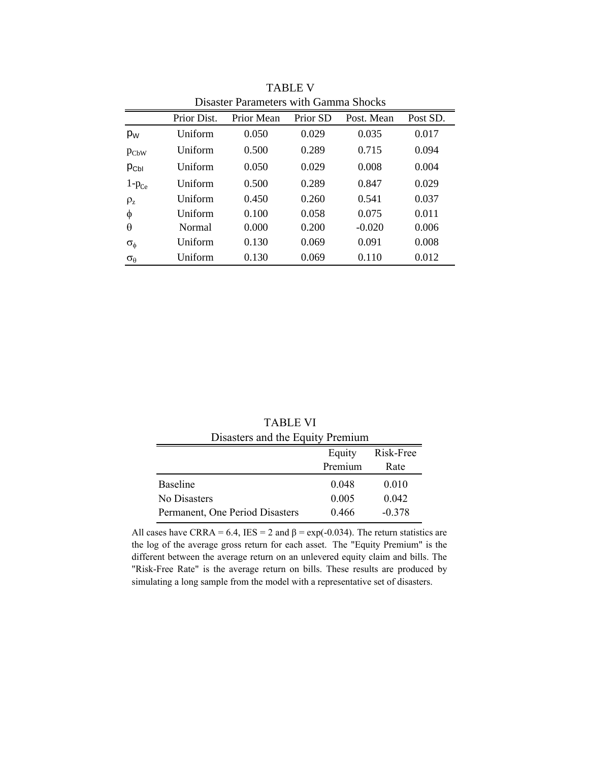|                   | Disaster Parameters with Gamma Shocks |            |          |            |          |  |  |  |  |  |
|-------------------|---------------------------------------|------------|----------|------------|----------|--|--|--|--|--|
|                   | Prior Dist.                           | Prior Mean | Prior SD | Post. Mean | Post SD. |  |  |  |  |  |
| p <sub>w</sub>    | Uniform                               | 0.050      | 0.029    | 0.035      | 0.017    |  |  |  |  |  |
| $p_{\text{CbW}}$  | Uniform                               | 0.500      | 0.289    | 0.715      | 0.094    |  |  |  |  |  |
| P <sub>ChI</sub>  | Uniform                               | 0.050      | 0.029    | 0.008      | 0.004    |  |  |  |  |  |
| $1-p_{Ce}$        | Uniform                               | 0.500      | 0.289    | 0.847      | 0.029    |  |  |  |  |  |
| $\rho_{\rm z}$    | Uniform                               | 0.450      | 0.260    | 0.541      | 0.037    |  |  |  |  |  |
| $\phi$            | Uniform                               | 0.100      | 0.058    | 0.075      | 0.011    |  |  |  |  |  |
| $\theta$          | Normal                                | 0.000      | 0.200    | $-0.020$   | 0.006    |  |  |  |  |  |
| $\sigma_{\phi}$   | Uniform                               | 0.130      | 0.069    | 0.091      | 0.008    |  |  |  |  |  |
| $\sigma_{\theta}$ | Uniform                               | 0.130      | 0.069    | 0.110      | 0.012    |  |  |  |  |  |

TABLE V Disaster Parameters with Gamma Shocks

Equity Disasters and the Equity Premium TABLE VI

|                                 | Equity  | Risk-Free |
|---------------------------------|---------|-----------|
|                                 | Premium | Rate      |
| <b>Baseline</b>                 | 0.048   | 0.010     |
| No Disasters                    | 0.005   | 0.042     |
| Permanent, One Period Disasters | 0.466   | $-0.378$  |

All cases have CRRA = 6.4, IES = 2 and  $\beta$  = exp(-0.034). The return statistics are the log of the average gross return for each asset. The "Equity Premium" is the different between the average return on an unlevered equity claim and bills. The "Risk-Free Rate" is the average return on bills. These results are produced by simulating a long sample from the model with a representative set of disasters.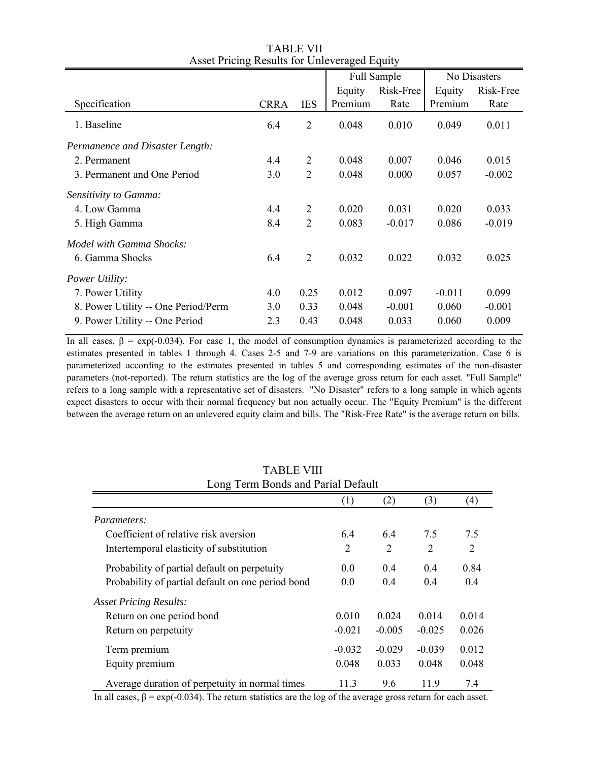|                                     |             |                | Full Sample |           | No Disasters |           |
|-------------------------------------|-------------|----------------|-------------|-----------|--------------|-----------|
|                                     |             |                | Equity      | Risk-Free | Equity       | Risk-Free |
| Specification                       | <b>CRRA</b> | <b>IES</b>     | Premium     | Rate      | Premium      | Rate      |
| 1. Baseline                         | 6.4         | $\overline{2}$ | 0.048       | 0.010     | 0.049        | 0.011     |
| Permanence and Disaster Length:     |             |                |             |           |              |           |
| 2. Permanent                        | 4.4         | 2              | 0.048       | 0.007     | 0.046        | 0.015     |
| 3. Permanent and One Period         | 3.0         | $\overline{2}$ | 0.048       | 0.000     | 0.057        | $-0.002$  |
| Sensitivity to Gamma:               |             |                |             |           |              |           |
| 4. Low Gamma                        | 4.4         | $\overline{2}$ | 0.020       | 0.031     | 0.020        | 0.033     |
| 5. High Gamma                       | 8.4         | $\overline{2}$ | 0.083       | $-0.017$  | 0.086        | $-0.019$  |
| Model with Gamma Shocks:            |             |                |             |           |              |           |
| 6. Gamma Shocks                     | 6.4         | $\overline{2}$ | 0.032       | 0.022     | 0.032        | 0.025     |
| Power Utility:                      |             |                |             |           |              |           |
| 7. Power Utility                    | 4.0         | 0.25           | 0.012       | 0.097     | $-0.011$     | 0.099     |
| 8. Power Utility -- One Period/Perm | 3.0         | 0.33           | 0.048       | $-0.001$  | 0.060        | $-0.001$  |
| 9. Power Utility -- One Period      | 2.3         | 0.43           | 0.048       | 0.033     | 0.060        | 0.009     |

Asset Pricing Results for Unleveraged Equity TABLE VII

In all cases,  $β = exp(-0.034)$ . For case 1, the model of consumption dynamics is parameterized according to the estimates presented in tables 1 through 4. Cases 2-5 and 7-9 are variations on this parameterization. Case 6 is parameterized according to the estimates presented in tables 5 and corresponding estimates of the non-disaster parameters (not-reported). The return statistics are the log of the average gross return for each asset. "Full Sample" refers to a long sample with a representative set of disasters. "No Disaster" refers to a long sample in which agents expect disasters to occur with their normal frequency but non actually occur. The "Equity Premium" is the different between the average return on an unlevered equity claim and bills. The "Risk-Free Rate" is the average return on bills.

| Long Term Bonds and Parial Default                |          |          |          |       |  |  |  |  |
|---------------------------------------------------|----------|----------|----------|-------|--|--|--|--|
|                                                   | (1)      | (2)      | (3)      | (4)   |  |  |  |  |
| <i>Parameters:</i>                                |          |          |          |       |  |  |  |  |
| Coefficient of relative risk aversion             | 6.4      | 6.4      | 7.5      | 7.5   |  |  |  |  |
| Intertemporal elasticity of substitution          | 2        | 2        | 2        | 2     |  |  |  |  |
| Probability of partial default on perpetuity      | 0.0      | 0.4      | 0.4      | 0.84  |  |  |  |  |
| Probability of partial default on one period bond | 0.0      | 0.4      | 0.4      | 0.4   |  |  |  |  |
| <b>Asset Pricing Results:</b>                     |          |          |          |       |  |  |  |  |
| Return on one period bond                         | 0.010    | 0.024    | 0.014    | 0.014 |  |  |  |  |
| Return on perpetuity                              | $-0.021$ | $-0.005$ | $-0.025$ | 0.026 |  |  |  |  |
| Term premium                                      | $-0.032$ | $-0.029$ | $-0.039$ | 0.012 |  |  |  |  |
| Equity premium                                    | 0.048    | 0.033    | 0.048    | 0.048 |  |  |  |  |
| Average duration of perpetuity in normal times    | 11.3     | 9.6      | 11.9     | 7.4   |  |  |  |  |

TABLE VIII

In all cases,  $β = exp(-0.034)$ . The return statistics are the log of the average gross return for each asset.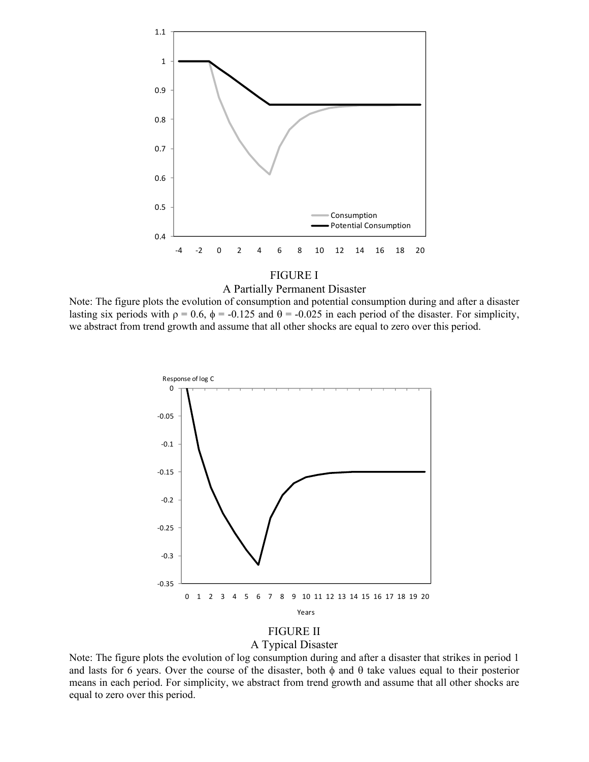

## FIGURE I A Partially Permanent Disaster

Note: The figure plots the evolution of consumption and potential consumption during and after a disaster lasting six periods with  $\rho = 0.6$ ,  $\phi = -0.125$  and  $\theta = -0.025$  in each period of the disaster. For simplicity, we abstract from trend growth and assume that all other shocks are equal to zero over this period.



# FIGURE II

# A Typical Disaster

Note: The figure plots the evolution of log consumption during and after a disaster that strikes in period 1 and lasts for 6 years. Over the course of the disaster, both  $\phi$  and  $\theta$  take values equal to their posterior means in each period. For simplicity, we abstract from trend growth and assume that all other shocks are equal to zero over this period.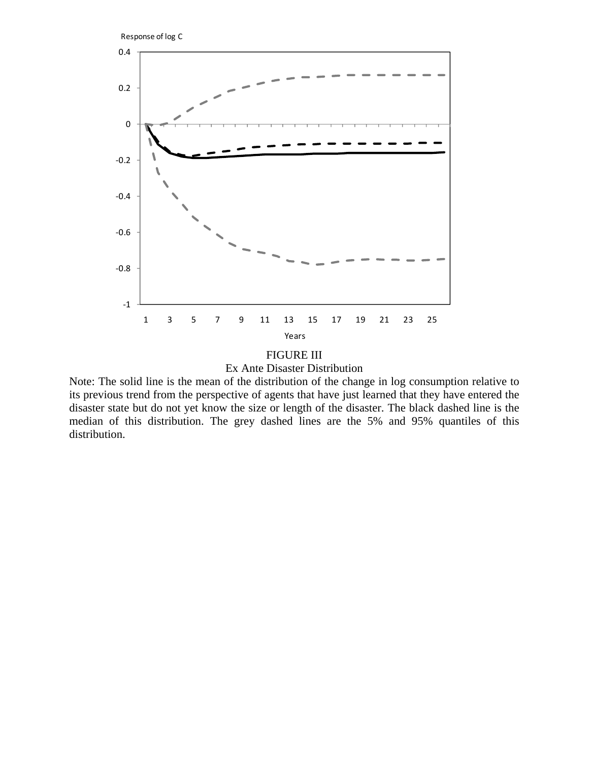

### FIGURE III Ex Ante Disaster Distribution

Note: The solid line is the mean of the distribution of the change in log consumption relative to its previous trend from the perspective of agents that have just learned that they have entered the disaster state but do not yet know the size or length of the disaster. The black dashed line is the median of this distribution. The grey dashed lines are the 5% and 95% quantiles of this distribution.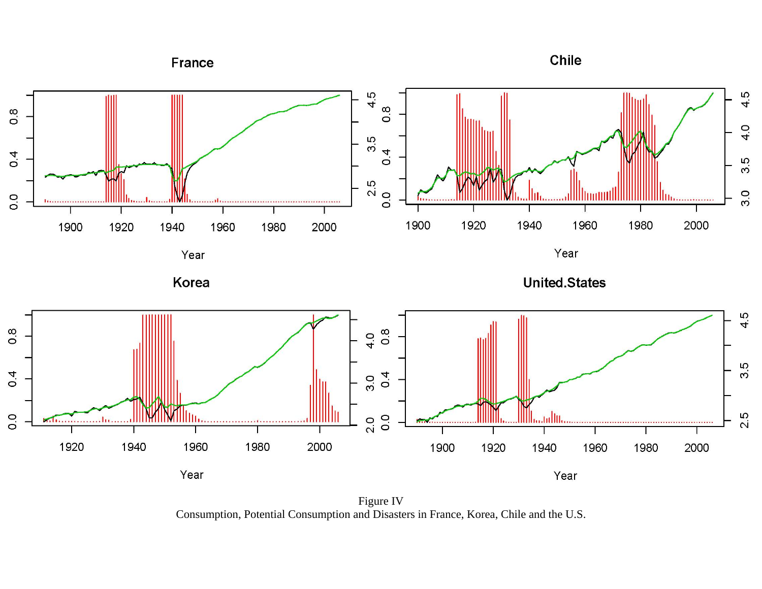

Figure IV Consumption, Potential Consumption and Disasters in France, Korea, Chile and the U.S.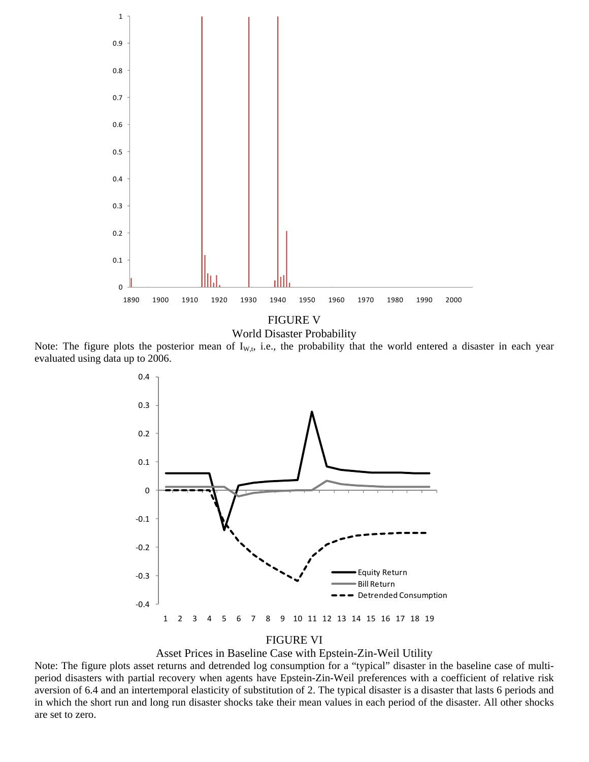



Note: The figure plots the posterior mean of  $I_{W,t}$ , i.e., the probability that the world entered a disaster in each year evaluated using data up to 2006.



#### FIGURE VI

#### Asset Prices in Baseline Case with Epstein-Zin-Weil Utility

Note: The figure plots asset returns and detrended log consumption for a "typical" disaster in the baseline case of multiperiod disasters with partial recovery when agents have Epstein-Zin-Weil preferences with a coefficient of relative risk aversion of 6.4 and an intertemporal elasticity of substitution of 2. The typical disaster is a disaster that lasts 6 periods and in which the short run and long run disaster shocks take their mean values in each period of the disaster. All other shocks are set to zero.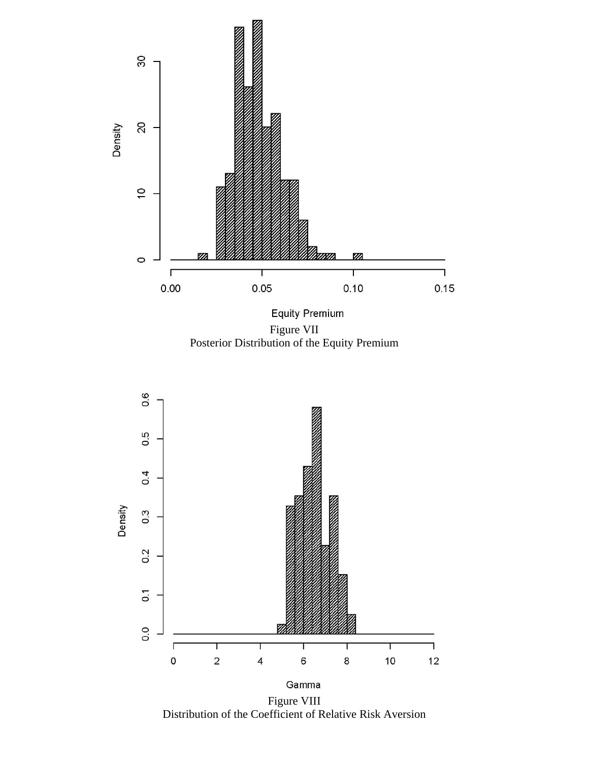

Figure VII Posterior Distribution of the Equity Premium



Distribution of the Coefficient of Relative Risk Aversion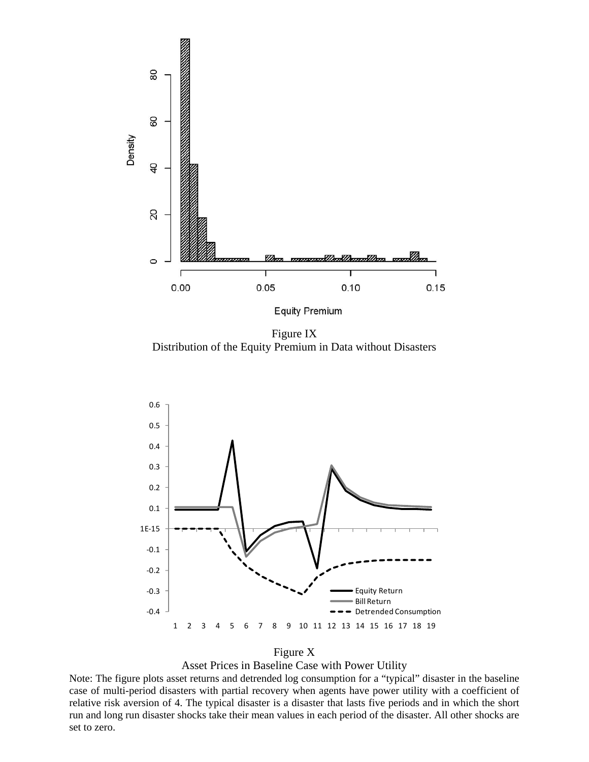

Figure IX Distribution of the Equity Premium in Data without Disasters



#### Figure X

# Asset Prices in Baseline Case with Power Utility

Note: The figure plots asset returns and detrended log consumption for a "typical" disaster in the baseline case of multi-period disasters with partial recovery when agents have power utility with a coefficient of relative risk aversion of 4. The typical disaster is a disaster that lasts five periods and in which the short run and long run disaster shocks take their mean values in each period of the disaster. All other shocks are set to zero.